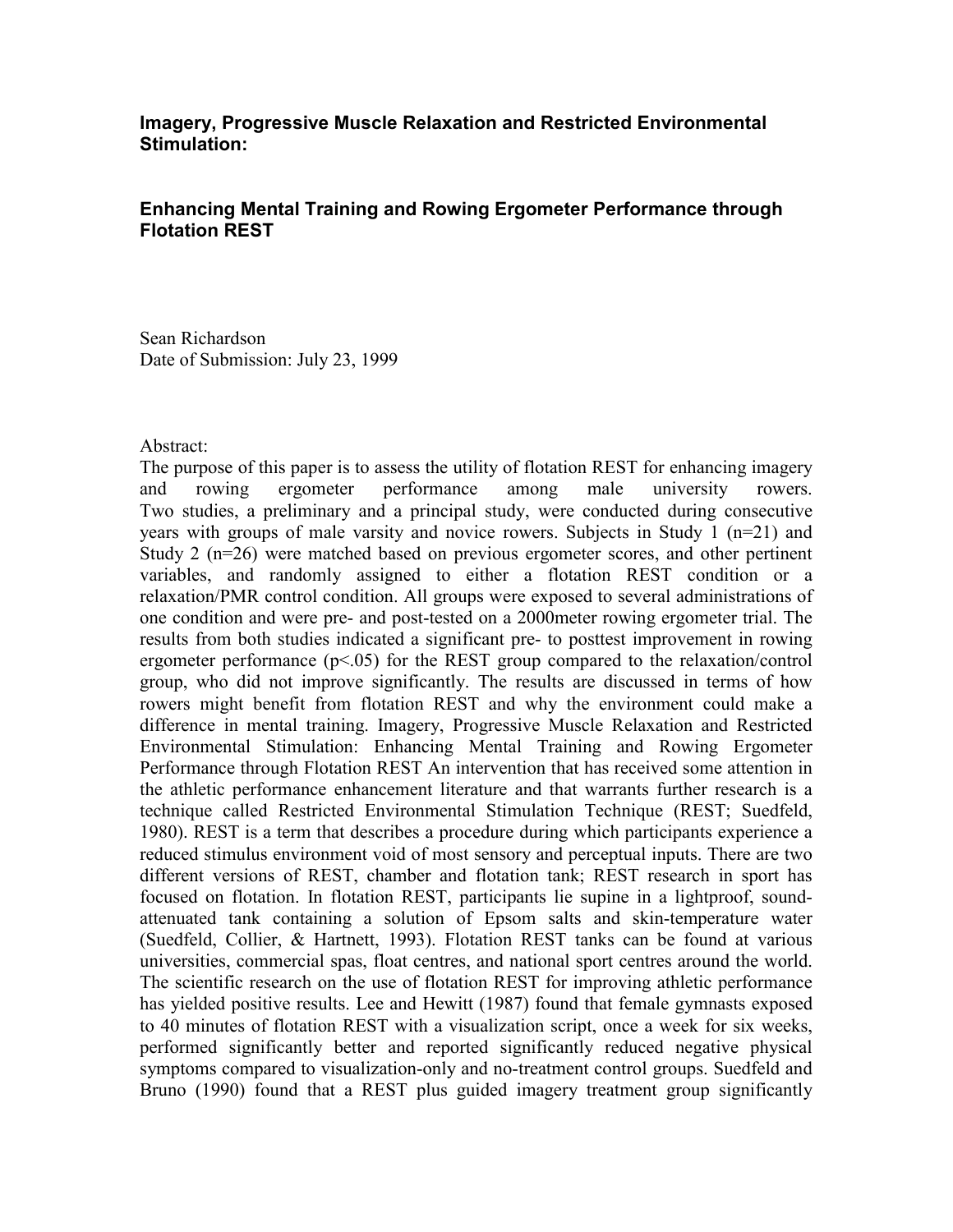## **Imagery, Progressive Muscle Relaxation and Restricted Environmental Stimulation:**

# **Enhancing Mental Training and Rowing Ergometer Performance through Flotation REST**

Sean Richardson Date of Submission: July 23, 1999

#### Abstract:

The purpose of this paper is to assess the utility of flotation REST for enhancing imagery and rowing ergometer performance among male university rowers. Two studies, a preliminary and a principal study, were conducted during consecutive years with groups of male varsity and novice rowers. Subjects in Study 1 (n=21) and Study 2 (n=26) were matched based on previous ergometer scores, and other pertinent variables, and randomly assigned to either a flotation REST condition or a relaxation/PMR control condition. All groups were exposed to several administrations of one condition and were pre- and post-tested on a 2000meter rowing ergometer trial. The results from both studies indicated a significant pre- to posttest improvement in rowing ergometer performance (p<.05) for the REST group compared to the relaxation/control group, who did not improve significantly. The results are discussed in terms of how rowers might benefit from flotation REST and why the environment could make a difference in mental training. Imagery, Progressive Muscle Relaxation and Restricted Environmental Stimulation: Enhancing Mental Training and Rowing Ergometer Performance through Flotation REST An intervention that has received some attention in the athletic performance enhancement literature and that warrants further research is a technique called Restricted Environmental Stimulation Technique (REST; Suedfeld, 1980). REST is a term that describes a procedure during which participants experience a reduced stimulus environment void of most sensory and perceptual inputs. There are two different versions of REST, chamber and flotation tank; REST research in sport has focused on flotation. In flotation REST, participants lie supine in a lightproof, soundattenuated tank containing a solution of Epsom salts and skin-temperature water (Suedfeld, Collier, & Hartnett, 1993). Flotation REST tanks can be found at various universities, commercial spas, float centres, and national sport centres around the world. The scientific research on the use of flotation REST for improving athletic performance has yielded positive results. Lee and Hewitt (1987) found that female gymnasts exposed to 40 minutes of flotation REST with a visualization script, once a week for six weeks, performed significantly better and reported significantly reduced negative physical symptoms compared to visualization-only and no-treatment control groups. Suedfeld and Bruno (1990) found that a REST plus guided imagery treatment group significantly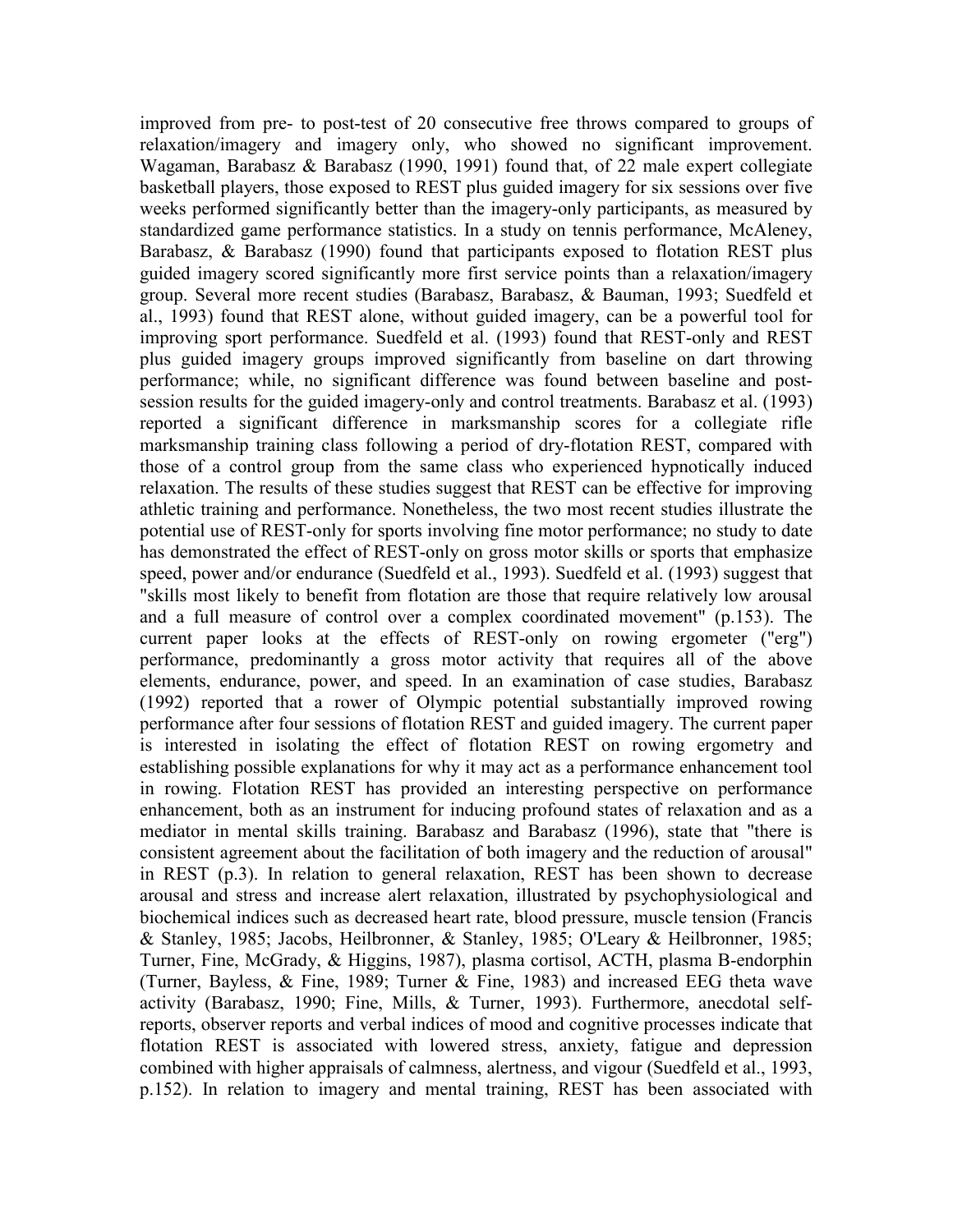improved from pre- to post-test of 20 consecutive free throws compared to groups of relaxation/imagery and imagery only, who showed no significant improvement. Wagaman, Barabasz & Barabasz (1990, 1991) found that, of 22 male expert collegiate basketball players, those exposed to REST plus guided imagery for six sessions over five weeks performed significantly better than the imagery-only participants, as measured by standardized game performance statistics. In a study on tennis performance, McAleney, Barabasz, & Barabasz (1990) found that participants exposed to flotation REST plus guided imagery scored significantly more first service points than a relaxation/imagery group. Several more recent studies (Barabasz, Barabasz, & Bauman, 1993; Suedfeld et al., 1993) found that REST alone, without guided imagery, can be a powerful tool for improving sport performance. Suedfeld et al. (1993) found that REST-only and REST plus guided imagery groups improved significantly from baseline on dart throwing performance; while, no significant difference was found between baseline and postsession results for the guided imagery-only and control treatments. Barabasz et al. (1993) reported a significant difference in marksmanship scores for a collegiate rifle marksmanship training class following a period of dry-flotation REST, compared with those of a control group from the same class who experienced hypnotically induced relaxation. The results of these studies suggest that REST can be effective for improving athletic training and performance. Nonetheless, the two most recent studies illustrate the potential use of REST-only for sports involving fine motor performance; no study to date has demonstrated the effect of REST-only on gross motor skills or sports that emphasize speed, power and/or endurance (Suedfeld et al., 1993). Suedfeld et al. (1993) suggest that "skills most likely to benefit from flotation are those that require relatively low arousal and a full measure of control over a complex coordinated movement" (p.153). The current paper looks at the effects of REST-only on rowing ergometer ("erg") performance, predominantly a gross motor activity that requires all of the above elements, endurance, power, and speed. In an examination of case studies, Barabasz (1992) reported that a rower of Olympic potential substantially improved rowing performance after four sessions of flotation REST and guided imagery. The current paper is interested in isolating the effect of flotation REST on rowing ergometry and establishing possible explanations for why it may act as a performance enhancement tool in rowing. Flotation REST has provided an interesting perspective on performance enhancement, both as an instrument for inducing profound states of relaxation and as a mediator in mental skills training. Barabasz and Barabasz (1996), state that "there is consistent agreement about the facilitation of both imagery and the reduction of arousal" in REST (p.3). In relation to general relaxation, REST has been shown to decrease arousal and stress and increase alert relaxation, illustrated by psychophysiological and biochemical indices such as decreased heart rate, blood pressure, muscle tension (Francis & Stanley, 1985; Jacobs, Heilbronner, & Stanley, 1985; O'Leary & Heilbronner, 1985; Turner, Fine, McGrady, & Higgins, 1987), plasma cortisol, ACTH, plasma B-endorphin (Turner, Bayless, & Fine, 1989; Turner & Fine, 1983) and increased EEG theta wave activity (Barabasz, 1990; Fine, Mills, & Turner, 1993). Furthermore, anecdotal selfreports, observer reports and verbal indices of mood and cognitive processes indicate that flotation REST is associated with lowered stress, anxiety, fatigue and depression combined with higher appraisals of calmness, alertness, and vigour (Suedfeld et al., 1993, p.152). In relation to imagery and mental training, REST has been associated with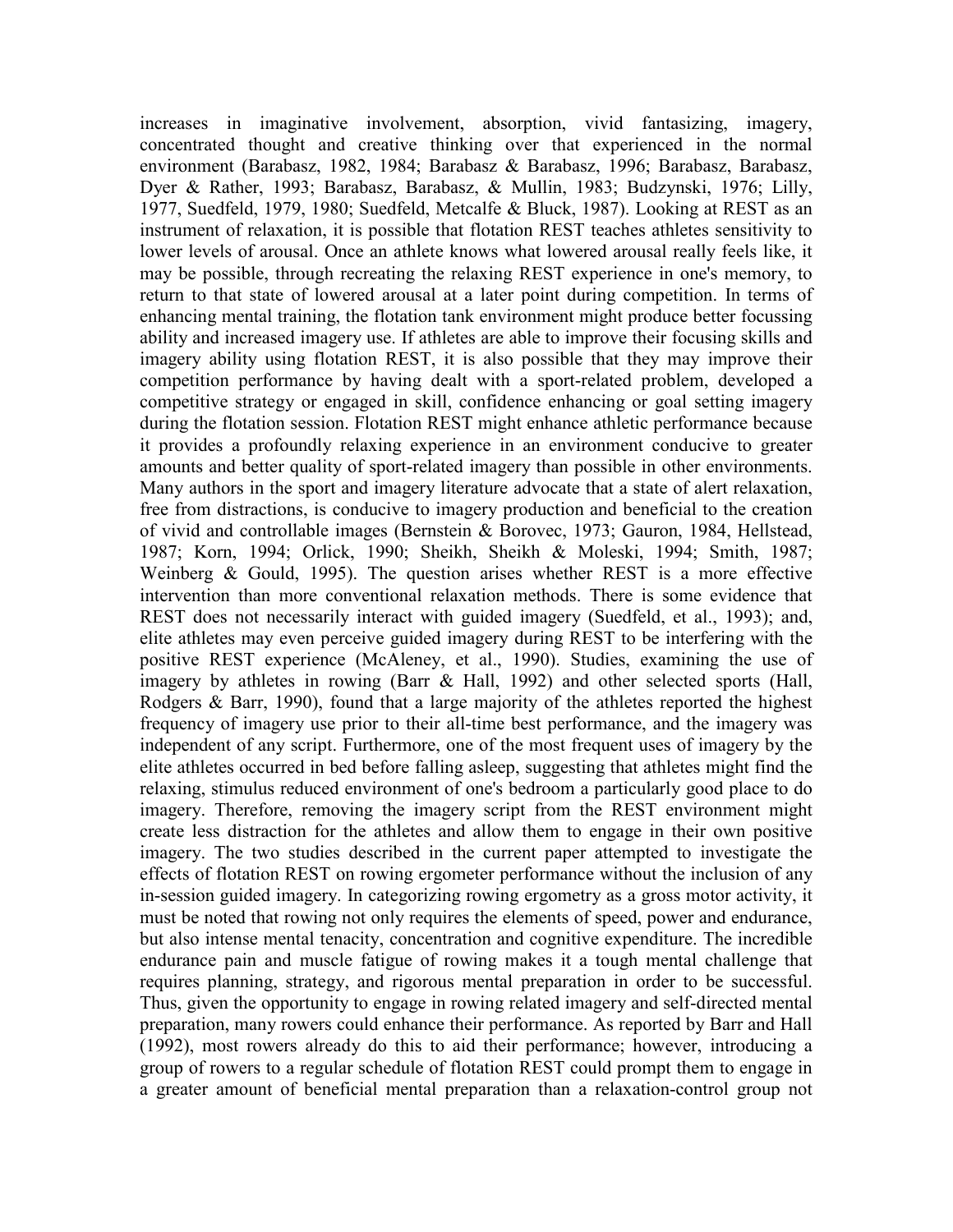increases in imaginative involvement, absorption, vivid fantasizing, imagery, concentrated thought and creative thinking over that experienced in the normal environment (Barabasz, 1982, 1984; Barabasz & Barabasz, 1996; Barabasz, Barabasz, Dyer & Rather, 1993; Barabasz, Barabasz, & Mullin, 1983; Budzynski, 1976; Lilly, 1977, Suedfeld, 1979, 1980; Suedfeld, Metcalfe & Bluck, 1987). Looking at REST as an instrument of relaxation, it is possible that flotation REST teaches athletes sensitivity to lower levels of arousal. Once an athlete knows what lowered arousal really feels like, it may be possible, through recreating the relaxing REST experience in one's memory, to return to that state of lowered arousal at a later point during competition. In terms of enhancing mental training, the flotation tank environment might produce better focussing ability and increased imagery use. If athletes are able to improve their focusing skills and imagery ability using flotation REST, it is also possible that they may improve their competition performance by having dealt with a sport-related problem, developed a competitive strategy or engaged in skill, confidence enhancing or goal setting imagery during the flotation session. Flotation REST might enhance athletic performance because it provides a profoundly relaxing experience in an environment conducive to greater amounts and better quality of sport-related imagery than possible in other environments. Many authors in the sport and imagery literature advocate that a state of alert relaxation, free from distractions, is conducive to imagery production and beneficial to the creation of vivid and controllable images (Bernstein & Borovec, 1973; Gauron, 1984, Hellstead, 1987; Korn, 1994; Orlick, 1990; Sheikh, Sheikh & Moleski, 1994; Smith, 1987; Weinberg & Gould, 1995). The question arises whether REST is a more effective intervention than more conventional relaxation methods. There is some evidence that REST does not necessarily interact with guided imagery (Suedfeld, et al., 1993); and, elite athletes may even perceive guided imagery during REST to be interfering with the positive REST experience (McAleney, et al., 1990). Studies, examining the use of imagery by athletes in rowing (Barr & Hall, 1992) and other selected sports (Hall, Rodgers & Barr, 1990), found that a large majority of the athletes reported the highest frequency of imagery use prior to their all-time best performance, and the imagery was independent of any script. Furthermore, one of the most frequent uses of imagery by the elite athletes occurred in bed before falling asleep, suggesting that athletes might find the relaxing, stimulus reduced environment of one's bedroom a particularly good place to do imagery. Therefore, removing the imagery script from the REST environment might create less distraction for the athletes and allow them to engage in their own positive imagery. The two studies described in the current paper attempted to investigate the effects of flotation REST on rowing ergometer performance without the inclusion of any in-session guided imagery. In categorizing rowing ergometry as a gross motor activity, it must be noted that rowing not only requires the elements of speed, power and endurance, but also intense mental tenacity, concentration and cognitive expenditure. The incredible endurance pain and muscle fatigue of rowing makes it a tough mental challenge that requires planning, strategy, and rigorous mental preparation in order to be successful. Thus, given the opportunity to engage in rowing related imagery and self-directed mental preparation, many rowers could enhance their performance. As reported by Barr and Hall (1992), most rowers already do this to aid their performance; however, introducing a group of rowers to a regular schedule of flotation REST could prompt them to engage in a greater amount of beneficial mental preparation than a relaxation-control group not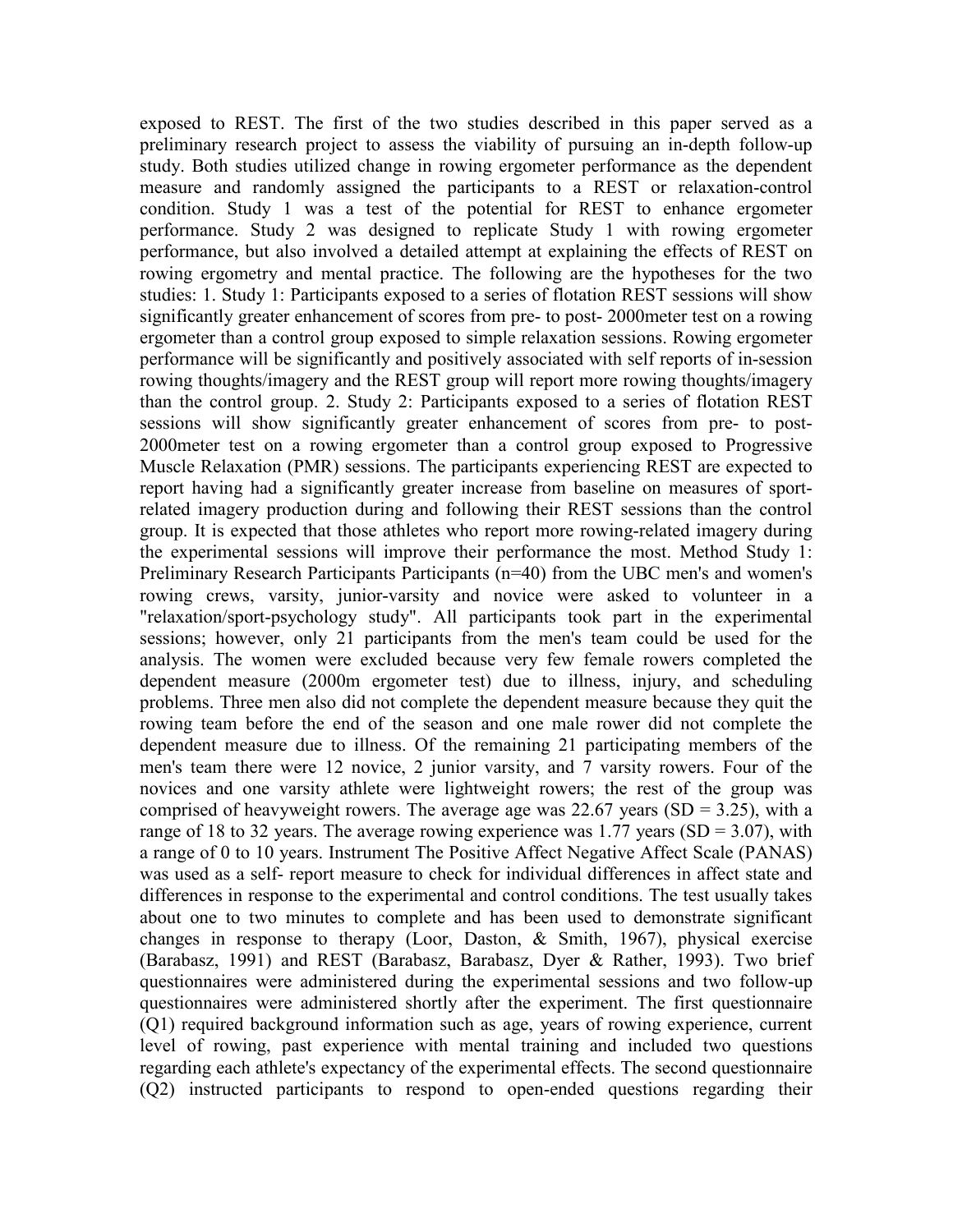exposed to REST. The first of the two studies described in this paper served as a preliminary research project to assess the viability of pursuing an in-depth follow-up study. Both studies utilized change in rowing ergometer performance as the dependent measure and randomly assigned the participants to a REST or relaxation-control condition. Study 1 was a test of the potential for REST to enhance ergometer performance. Study 2 was designed to replicate Study 1 with rowing ergometer performance, but also involved a detailed attempt at explaining the effects of REST on rowing ergometry and mental practice. The following are the hypotheses for the two studies: 1. Study 1: Participants exposed to a series of flotation REST sessions will show significantly greater enhancement of scores from pre- to post- 2000meter test on a rowing ergometer than a control group exposed to simple relaxation sessions. Rowing ergometer performance will be significantly and positively associated with self reports of in-session rowing thoughts/imagery and the REST group will report more rowing thoughts/imagery than the control group. 2. Study 2: Participants exposed to a series of flotation REST sessions will show significantly greater enhancement of scores from pre- to post-2000meter test on a rowing ergometer than a control group exposed to Progressive Muscle Relaxation (PMR) sessions. The participants experiencing REST are expected to report having had a significantly greater increase from baseline on measures of sportrelated imagery production during and following their REST sessions than the control group. It is expected that those athletes who report more rowing-related imagery during the experimental sessions will improve their performance the most. Method Study 1: Preliminary Research Participants Participants (n=40) from the UBC men's and women's rowing crews, varsity, junior-varsity and novice were asked to volunteer in a "relaxation/sport-psychology study". All participants took part in the experimental sessions; however, only 21 participants from the men's team could be used for the analysis. The women were excluded because very few female rowers completed the dependent measure (2000m ergometer test) due to illness, injury, and scheduling problems. Three men also did not complete the dependent measure because they quit the rowing team before the end of the season and one male rower did not complete the dependent measure due to illness. Of the remaining 21 participating members of the men's team there were 12 novice, 2 junior varsity, and 7 varsity rowers. Four of the novices and one varsity athlete were lightweight rowers; the rest of the group was comprised of heavyweight rowers. The average age was  $22.67$  years (SD = 3.25), with a range of 18 to 32 years. The average rowing experience was 1.77 years (SD =  $3.07$ ), with a range of 0 to 10 years. Instrument The Positive Affect Negative Affect Scale (PANAS) was used as a self- report measure to check for individual differences in affect state and differences in response to the experimental and control conditions. The test usually takes about one to two minutes to complete and has been used to demonstrate significant changes in response to therapy (Loor, Daston, & Smith, 1967), physical exercise (Barabasz, 1991) and REST (Barabasz, Barabasz, Dyer & Rather, 1993). Two brief questionnaires were administered during the experimental sessions and two follow-up questionnaires were administered shortly after the experiment. The first questionnaire (Q1) required background information such as age, years of rowing experience, current level of rowing, past experience with mental training and included two questions regarding each athlete's expectancy of the experimental effects. The second questionnaire (Q2) instructed participants to respond to open-ended questions regarding their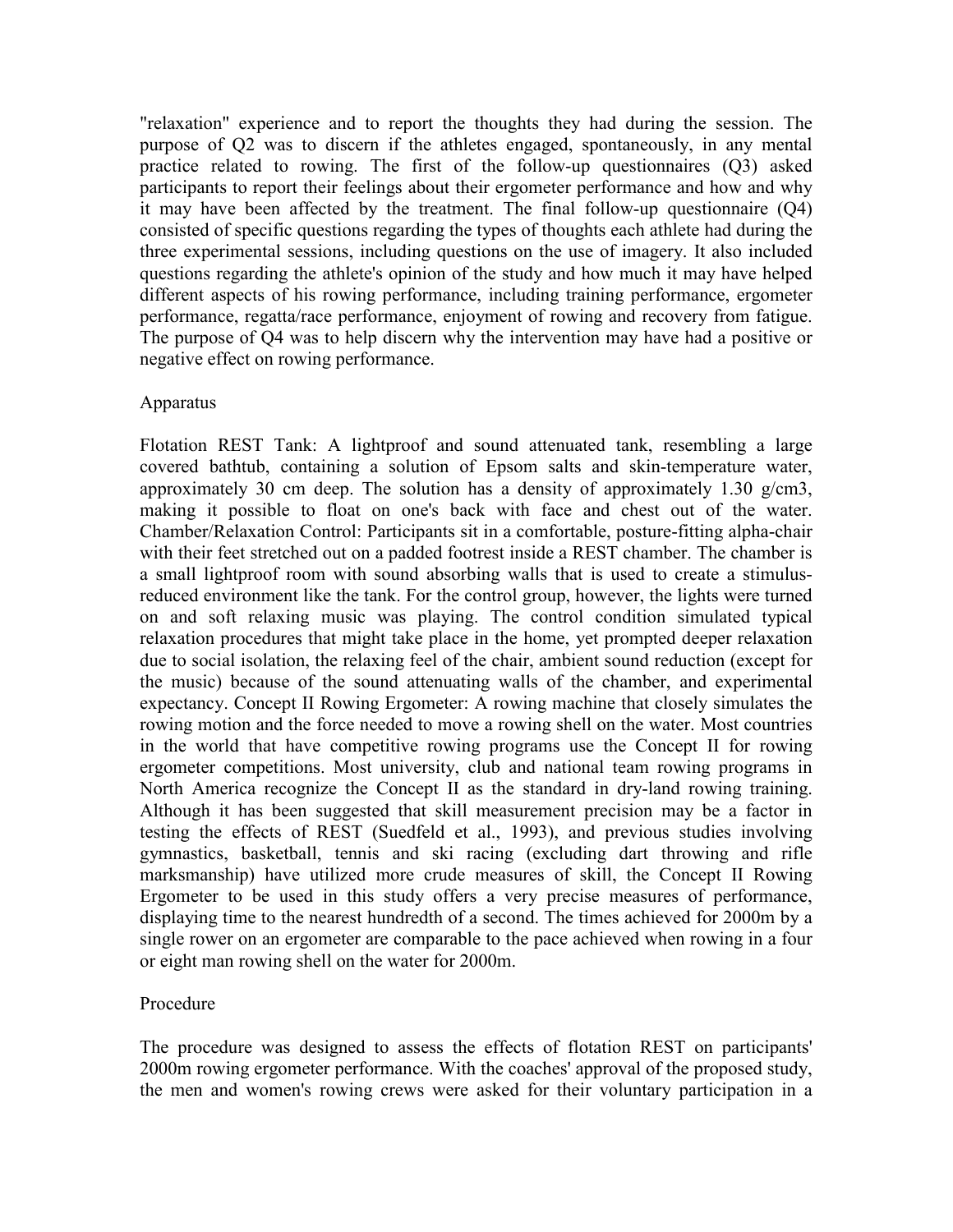"relaxation" experience and to report the thoughts they had during the session. The purpose of Q2 was to discern if the athletes engaged, spontaneously, in any mental practice related to rowing. The first of the follow-up questionnaires (Q3) asked participants to report their feelings about their ergometer performance and how and why it may have been affected by the treatment. The final follow-up questionnaire (Q4) consisted of specific questions regarding the types of thoughts each athlete had during the three experimental sessions, including questions on the use of imagery. It also included questions regarding the athlete's opinion of the study and how much it may have helped different aspects of his rowing performance, including training performance, ergometer performance, regatta/race performance, enjoyment of rowing and recovery from fatigue. The purpose of Q4 was to help discern why the intervention may have had a positive or negative effect on rowing performance.

## Apparatus

Flotation REST Tank: A lightproof and sound attenuated tank, resembling a large covered bathtub, containing a solution of Epsom salts and skin-temperature water, approximately 30 cm deep. The solution has a density of approximately 1.30  $g/cm3$ , making it possible to float on one's back with face and chest out of the water. Chamber/Relaxation Control: Participants sit in a comfortable, posture-fitting alpha-chair with their feet stretched out on a padded footrest inside a REST chamber. The chamber is a small lightproof room with sound absorbing walls that is used to create a stimulusreduced environment like the tank. For the control group, however, the lights were turned on and soft relaxing music was playing. The control condition simulated typical relaxation procedures that might take place in the home, yet prompted deeper relaxation due to social isolation, the relaxing feel of the chair, ambient sound reduction (except for the music) because of the sound attenuating walls of the chamber, and experimental expectancy. Concept II Rowing Ergometer: A rowing machine that closely simulates the rowing motion and the force needed to move a rowing shell on the water. Most countries in the world that have competitive rowing programs use the Concept II for rowing ergometer competitions. Most university, club and national team rowing programs in North America recognize the Concept II as the standard in dry-land rowing training. Although it has been suggested that skill measurement precision may be a factor in testing the effects of REST (Suedfeld et al., 1993), and previous studies involving gymnastics, basketball, tennis and ski racing (excluding dart throwing and rifle marksmanship) have utilized more crude measures of skill, the Concept II Rowing Ergometer to be used in this study offers a very precise measures of performance, displaying time to the nearest hundredth of a second. The times achieved for 2000m by a single rower on an ergometer are comparable to the pace achieved when rowing in a four or eight man rowing shell on the water for 2000m.

## Procedure

The procedure was designed to assess the effects of flotation REST on participants' 2000m rowing ergometer performance. With the coaches' approval of the proposed study, the men and women's rowing crews were asked for their voluntary participation in a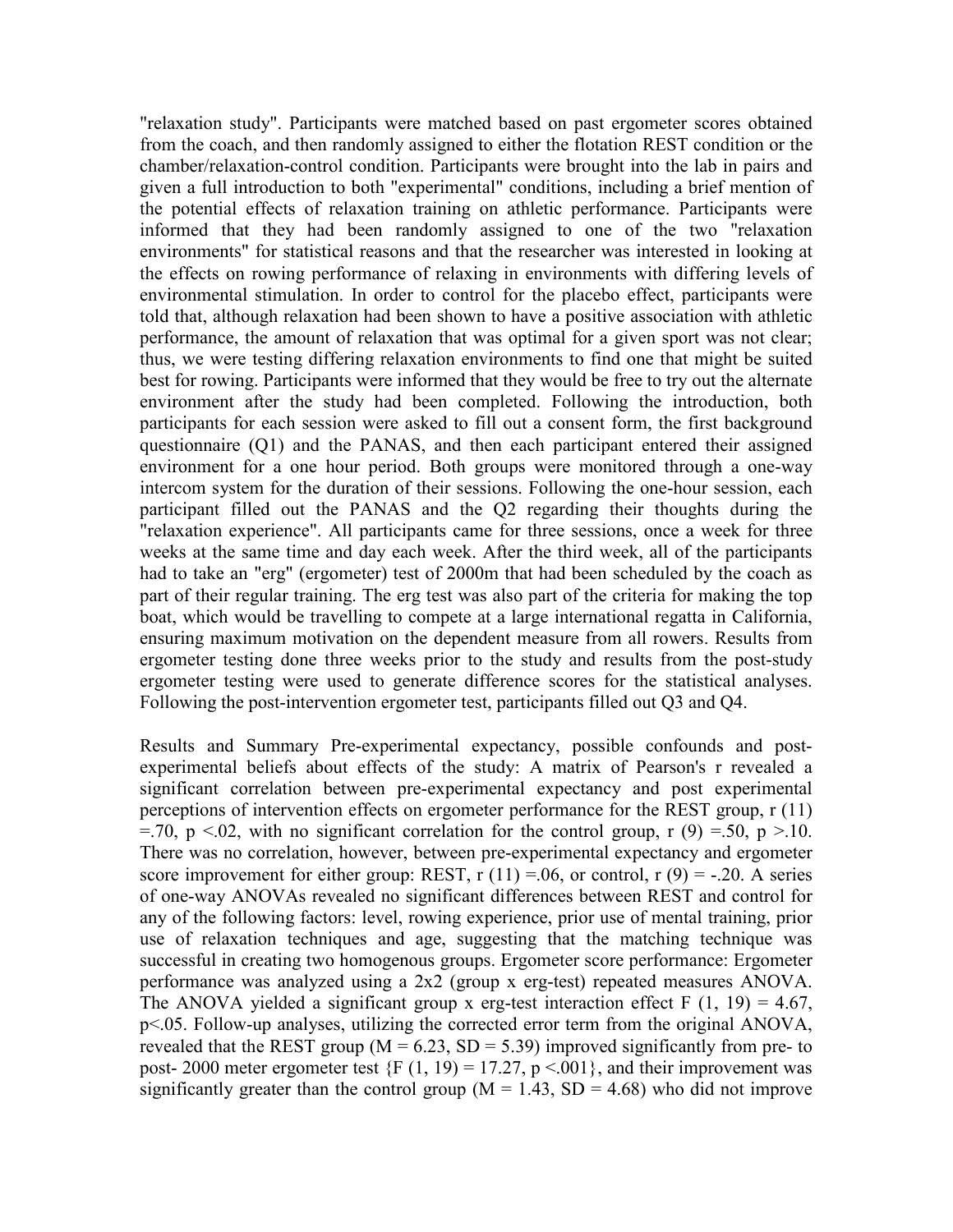"relaxation study". Participants were matched based on past ergometer scores obtained from the coach, and then randomly assigned to either the flotation REST condition or the chamber/relaxation-control condition. Participants were brought into the lab in pairs and given a full introduction to both "experimental" conditions, including a brief mention of the potential effects of relaxation training on athletic performance. Participants were informed that they had been randomly assigned to one of the two "relaxation environments" for statistical reasons and that the researcher was interested in looking at the effects on rowing performance of relaxing in environments with differing levels of environmental stimulation. In order to control for the placebo effect, participants were told that, although relaxation had been shown to have a positive association with athletic performance, the amount of relaxation that was optimal for a given sport was not clear; thus, we were testing differing relaxation environments to find one that might be suited best for rowing. Participants were informed that they would be free to try out the alternate environment after the study had been completed. Following the introduction, both participants for each session were asked to fill out a consent form, the first background questionnaire (Q1) and the PANAS, and then each participant entered their assigned environment for a one hour period. Both groups were monitored through a one-way intercom system for the duration of their sessions. Following the one-hour session, each participant filled out the PANAS and the Q2 regarding their thoughts during the "relaxation experience". All participants came for three sessions, once a week for three weeks at the same time and day each week. After the third week, all of the participants had to take an "erg" (ergometer) test of 2000m that had been scheduled by the coach as part of their regular training. The erg test was also part of the criteria for making the top boat, which would be travelling to compete at a large international regatta in California, ensuring maximum motivation on the dependent measure from all rowers. Results from ergometer testing done three weeks prior to the study and results from the post-study ergometer testing were used to generate difference scores for the statistical analyses. Following the post-intervention ergometer test, participants filled out Q3 and Q4.

Results and Summary Pre-experimental expectancy, possible confounds and postexperimental beliefs about effects of the study: A matrix of Pearson's r revealed a significant correlation between pre-experimental expectancy and post experimental perceptions of intervention effects on ergometer performance for the REST group, r (11)  $=$ .70, p <.02, with no significant correlation for the control group, r (9) =.50, p >.10. There was no correlation, however, between pre-experimental expectancy and ergometer score improvement for either group: REST, r (11) = 06, or control, r (9) = -.20. A series of one-way ANOVAs revealed no significant differences between REST and control for any of the following factors: level, rowing experience, prior use of mental training, prior use of relaxation techniques and age, suggesting that the matching technique was successful in creating two homogenous groups. Ergometer score performance: Ergometer performance was analyzed using a 2x2 (group x erg-test) repeated measures ANOVA. The ANOVA yielded a significant group x erg-test interaction effect  $F(1, 19) = 4.67$ , p<.05. Follow-up analyses, utilizing the corrected error term from the original ANOVA, revealed that the REST group ( $M = 6.23$ , SD = 5.39) improved significantly from pre- to post- 2000 meter ergometer test  ${F(1, 19) = 17.27, p \le 0.001}$ , and their improvement was significantly greater than the control group ( $M = 1.43$ , SD = 4.68) who did not improve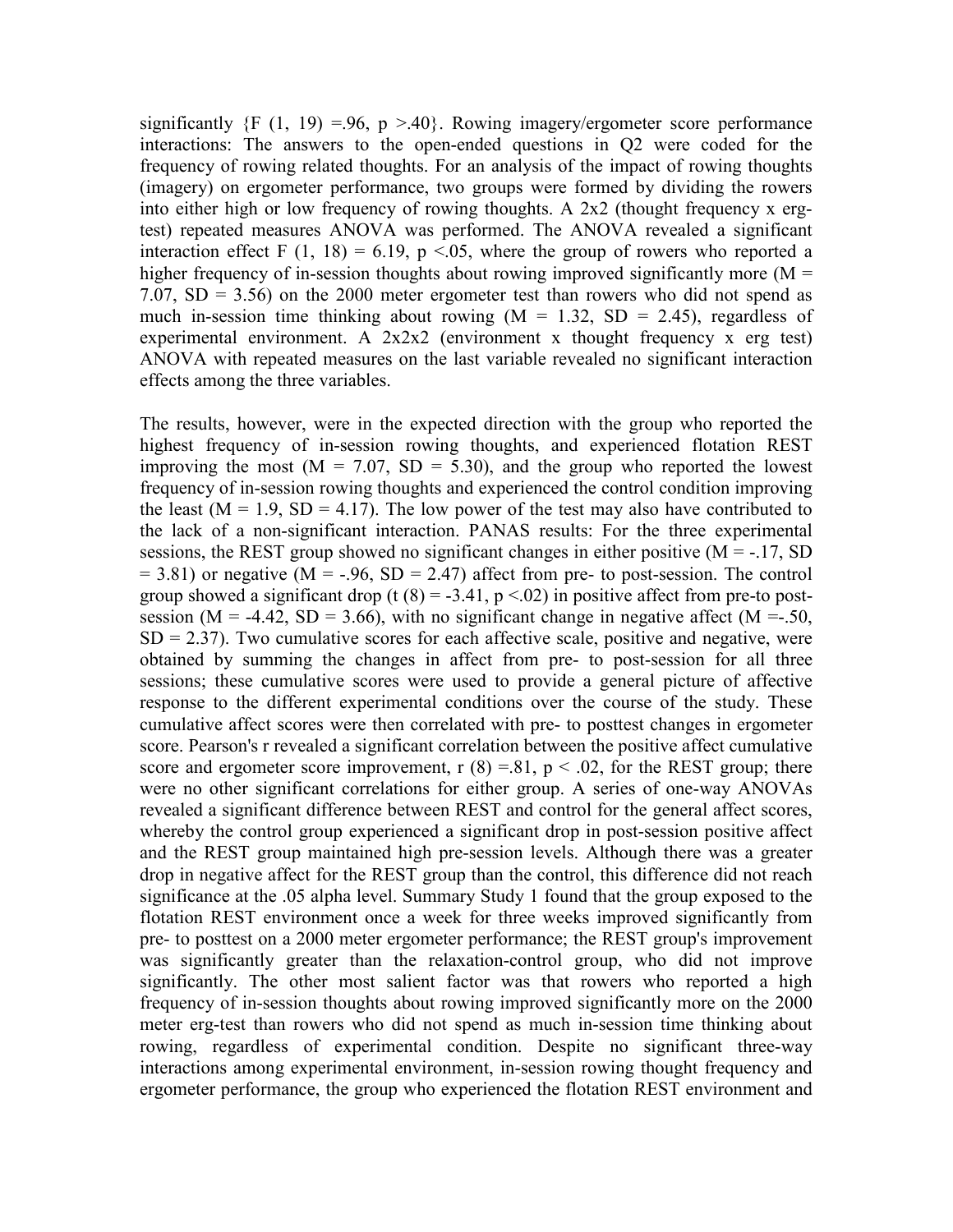significantly  $\{F (1, 19) = .96, p > .40\}$ . Rowing imagery/ergometer score performance interactions: The answers to the open-ended questions in Q2 were coded for the frequency of rowing related thoughts. For an analysis of the impact of rowing thoughts (imagery) on ergometer performance, two groups were formed by dividing the rowers into either high or low frequency of rowing thoughts. A 2x2 (thought frequency x ergtest) repeated measures ANOVA was performed. The ANOVA revealed a significant interaction effect F (1, 18) = 6.19, p < 0.05, where the group of rowers who reported a higher frequency of in-session thoughts about rowing improved significantly more ( $M =$ 7.07,  $SD = 3.56$ ) on the 2000 meter ergometer test than rowers who did not spend as much in-session time thinking about rowing  $(M = 1.32, SD = 2.45)$ , regardless of experimental environment. A  $2x2x2$  (environment x thought frequency x erg test) ANOVA with repeated measures on the last variable revealed no significant interaction effects among the three variables.

The results, however, were in the expected direction with the group who reported the highest frequency of in-session rowing thoughts, and experienced flotation REST improving the most ( $M = 7.07$ ,  $SD = 5.30$ ), and the group who reported the lowest frequency of in-session rowing thoughts and experienced the control condition improving the least ( $M = 1.9$ ,  $SD = 4.17$ ). The low power of the test may also have contributed to the lack of a non-significant interaction. PANAS results: For the three experimental sessions, the REST group showed no significant changes in either positive  $(M = -17, SD)$  $= 3.81$ ) or negative (M = -.96, SD = 2.47) affect from pre- to post-session. The control group showed a significant drop (t  $(8) = -3.41$ , p <.02) in positive affect from pre-to postsession (M = -4.42, SD = 3.66), with no significant change in negative affect (M = -.50,  $SD = 2.37$ ). Two cumulative scores for each affective scale, positive and negative, were obtained by summing the changes in affect from pre- to post-session for all three sessions; these cumulative scores were used to provide a general picture of affective response to the different experimental conditions over the course of the study. These cumulative affect scores were then correlated with pre- to posttest changes in ergometer score. Pearson's r revealed a significant correlation between the positive affect cumulative score and ergometer score improvement,  $r(8) = 0.81$ ,  $p < 0.02$ , for the REST group; there were no other significant correlations for either group. A series of one-way ANOVAs revealed a significant difference between REST and control for the general affect scores, whereby the control group experienced a significant drop in post-session positive affect and the REST group maintained high pre-session levels. Although there was a greater drop in negative affect for the REST group than the control, this difference did not reach significance at the .05 alpha level. Summary Study 1 found that the group exposed to the flotation REST environment once a week for three weeks improved significantly from pre- to posttest on a 2000 meter ergometer performance; the REST group's improvement was significantly greater than the relaxation-control group, who did not improve significantly. The other most salient factor was that rowers who reported a high frequency of in-session thoughts about rowing improved significantly more on the 2000 meter erg-test than rowers who did not spend as much in-session time thinking about rowing, regardless of experimental condition. Despite no significant three-way interactions among experimental environment, in-session rowing thought frequency and ergometer performance, the group who experienced the flotation REST environment and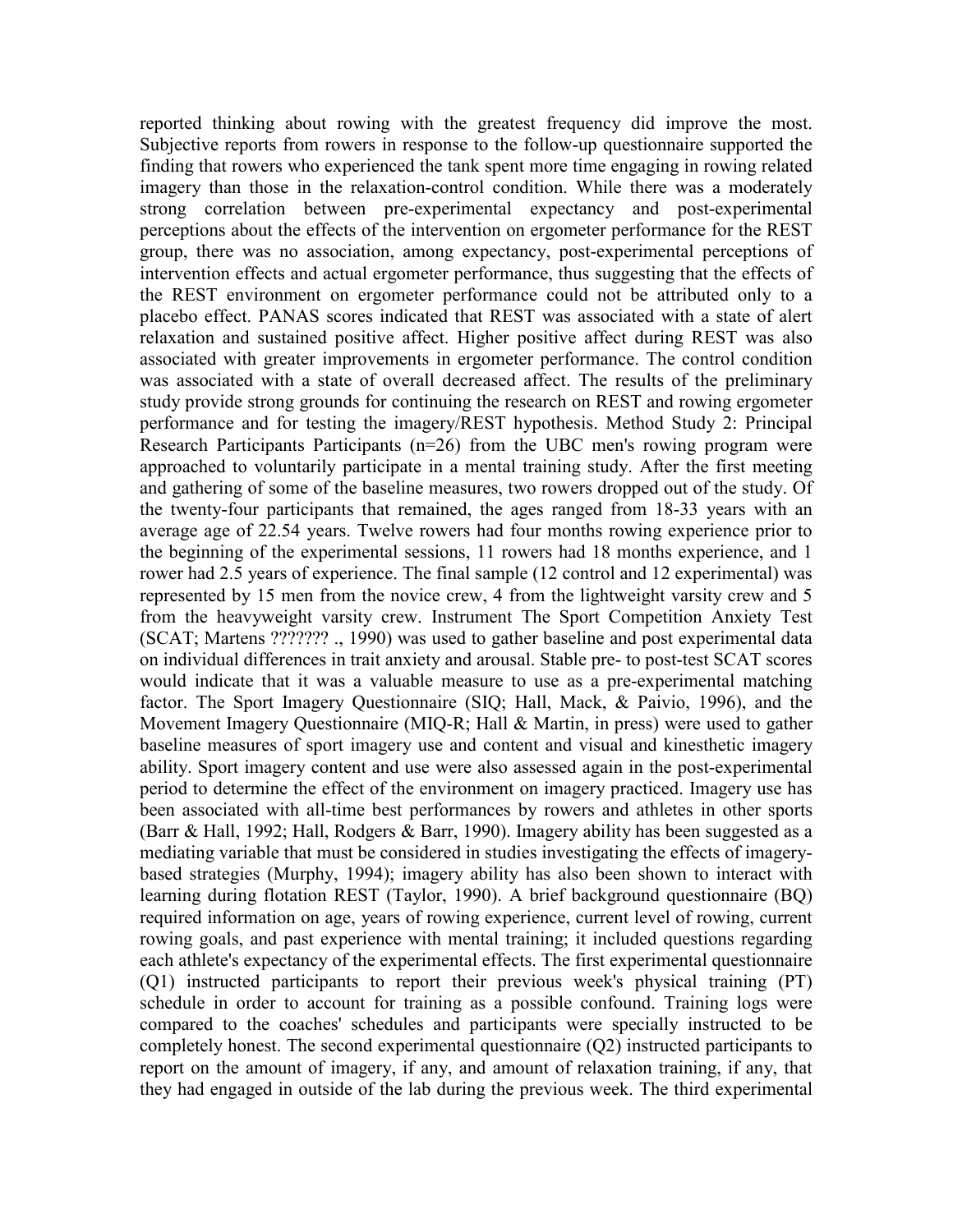reported thinking about rowing with the greatest frequency did improve the most. Subjective reports from rowers in response to the follow-up questionnaire supported the finding that rowers who experienced the tank spent more time engaging in rowing related imagery than those in the relaxation-control condition. While there was a moderately strong correlation between pre-experimental expectancy and post-experimental perceptions about the effects of the intervention on ergometer performance for the REST group, there was no association, among expectancy, post-experimental perceptions of intervention effects and actual ergometer performance, thus suggesting that the effects of the REST environment on ergometer performance could not be attributed only to a placebo effect. PANAS scores indicated that REST was associated with a state of alert relaxation and sustained positive affect. Higher positive affect during REST was also associated with greater improvements in ergometer performance. The control condition was associated with a state of overall decreased affect. The results of the preliminary study provide strong grounds for continuing the research on REST and rowing ergometer performance and for testing the imagery/REST hypothesis. Method Study 2: Principal Research Participants Participants (n=26) from the UBC men's rowing program were approached to voluntarily participate in a mental training study. After the first meeting and gathering of some of the baseline measures, two rowers dropped out of the study. Of the twenty-four participants that remained, the ages ranged from 18-33 years with an average age of 22.54 years. Twelve rowers had four months rowing experience prior to the beginning of the experimental sessions, 11 rowers had 18 months experience, and 1 rower had 2.5 years of experience. The final sample (12 control and 12 experimental) was represented by 15 men from the novice crew, 4 from the lightweight varsity crew and 5 from the heavyweight varsity crew. Instrument The Sport Competition Anxiety Test (SCAT; Martens ??????? ., 1990) was used to gather baseline and post experimental data on individual differences in trait anxiety and arousal. Stable pre- to post-test SCAT scores would indicate that it was a valuable measure to use as a pre-experimental matching factor. The Sport Imagery Questionnaire (SIQ; Hall, Mack, & Paivio, 1996), and the Movement Imagery Questionnaire (MIQ-R; Hall & Martin, in press) were used to gather baseline measures of sport imagery use and content and visual and kinesthetic imagery ability. Sport imagery content and use were also assessed again in the post-experimental period to determine the effect of the environment on imagery practiced. Imagery use has been associated with all-time best performances by rowers and athletes in other sports (Barr & Hall, 1992; Hall, Rodgers & Barr, 1990). Imagery ability has been suggested as a mediating variable that must be considered in studies investigating the effects of imagerybased strategies (Murphy, 1994); imagery ability has also been shown to interact with learning during flotation REST (Taylor, 1990). A brief background questionnaire (BQ) required information on age, years of rowing experience, current level of rowing, current rowing goals, and past experience with mental training; it included questions regarding each athlete's expectancy of the experimental effects. The first experimental questionnaire (Q1) instructed participants to report their previous week's physical training (PT) schedule in order to account for training as a possible confound. Training logs were compared to the coaches' schedules and participants were specially instructed to be completely honest. The second experimental questionnaire (Q2) instructed participants to report on the amount of imagery, if any, and amount of relaxation training, if any, that they had engaged in outside of the lab during the previous week. The third experimental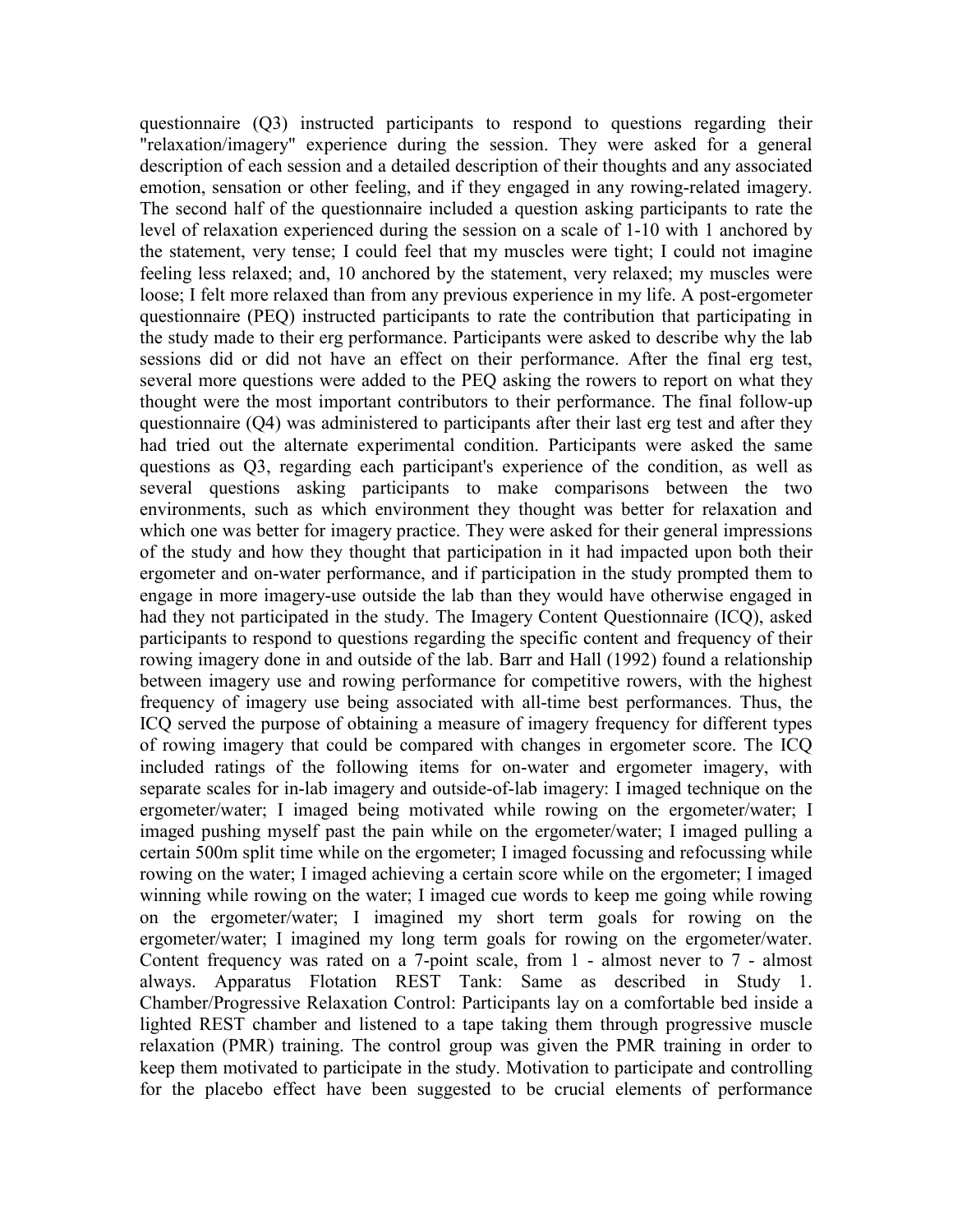questionnaire (Q3) instructed participants to respond to questions regarding their "relaxation/imagery" experience during the session. They were asked for a general description of each session and a detailed description of their thoughts and any associated emotion, sensation or other feeling, and if they engaged in any rowing-related imagery. The second half of the questionnaire included a question asking participants to rate the level of relaxation experienced during the session on a scale of 1-10 with 1 anchored by the statement, very tense; I could feel that my muscles were tight; I could not imagine feeling less relaxed; and, 10 anchored by the statement, very relaxed; my muscles were loose; I felt more relaxed than from any previous experience in my life. A post-ergometer questionnaire (PEQ) instructed participants to rate the contribution that participating in the study made to their erg performance. Participants were asked to describe why the lab sessions did or did not have an effect on their performance. After the final erg test, several more questions were added to the PEQ asking the rowers to report on what they thought were the most important contributors to their performance. The final follow-up questionnaire (Q4) was administered to participants after their last erg test and after they had tried out the alternate experimental condition. Participants were asked the same questions as Q3, regarding each participant's experience of the condition, as well as several questions asking participants to make comparisons between the two environments, such as which environment they thought was better for relaxation and which one was better for imagery practice. They were asked for their general impressions of the study and how they thought that participation in it had impacted upon both their ergometer and on-water performance, and if participation in the study prompted them to engage in more imagery-use outside the lab than they would have otherwise engaged in had they not participated in the study. The Imagery Content Questionnaire (ICQ), asked participants to respond to questions regarding the specific content and frequency of their rowing imagery done in and outside of the lab. Barr and Hall (1992) found a relationship between imagery use and rowing performance for competitive rowers, with the highest frequency of imagery use being associated with all-time best performances. Thus, the ICQ served the purpose of obtaining a measure of imagery frequency for different types of rowing imagery that could be compared with changes in ergometer score. The ICQ included ratings of the following items for on-water and ergometer imagery, with separate scales for in-lab imagery and outside-of-lab imagery: I imaged technique on the ergometer/water; I imaged being motivated while rowing on the ergometer/water; I imaged pushing myself past the pain while on the ergometer/water; I imaged pulling a certain 500m split time while on the ergometer; I imaged focussing and refocussing while rowing on the water; I imaged achieving a certain score while on the ergometer; I imaged winning while rowing on the water; I imaged cue words to keep me going while rowing on the ergometer/water; I imagined my short term goals for rowing on the ergometer/water; I imagined my long term goals for rowing on the ergometer/water. Content frequency was rated on a 7-point scale, from 1 - almost never to 7 - almost always. Apparatus Flotation REST Tank: Same as described in Study 1. Chamber/Progressive Relaxation Control: Participants lay on a comfortable bed inside a lighted REST chamber and listened to a tape taking them through progressive muscle relaxation (PMR) training. The control group was given the PMR training in order to keep them motivated to participate in the study. Motivation to participate and controlling for the placebo effect have been suggested to be crucial elements of performance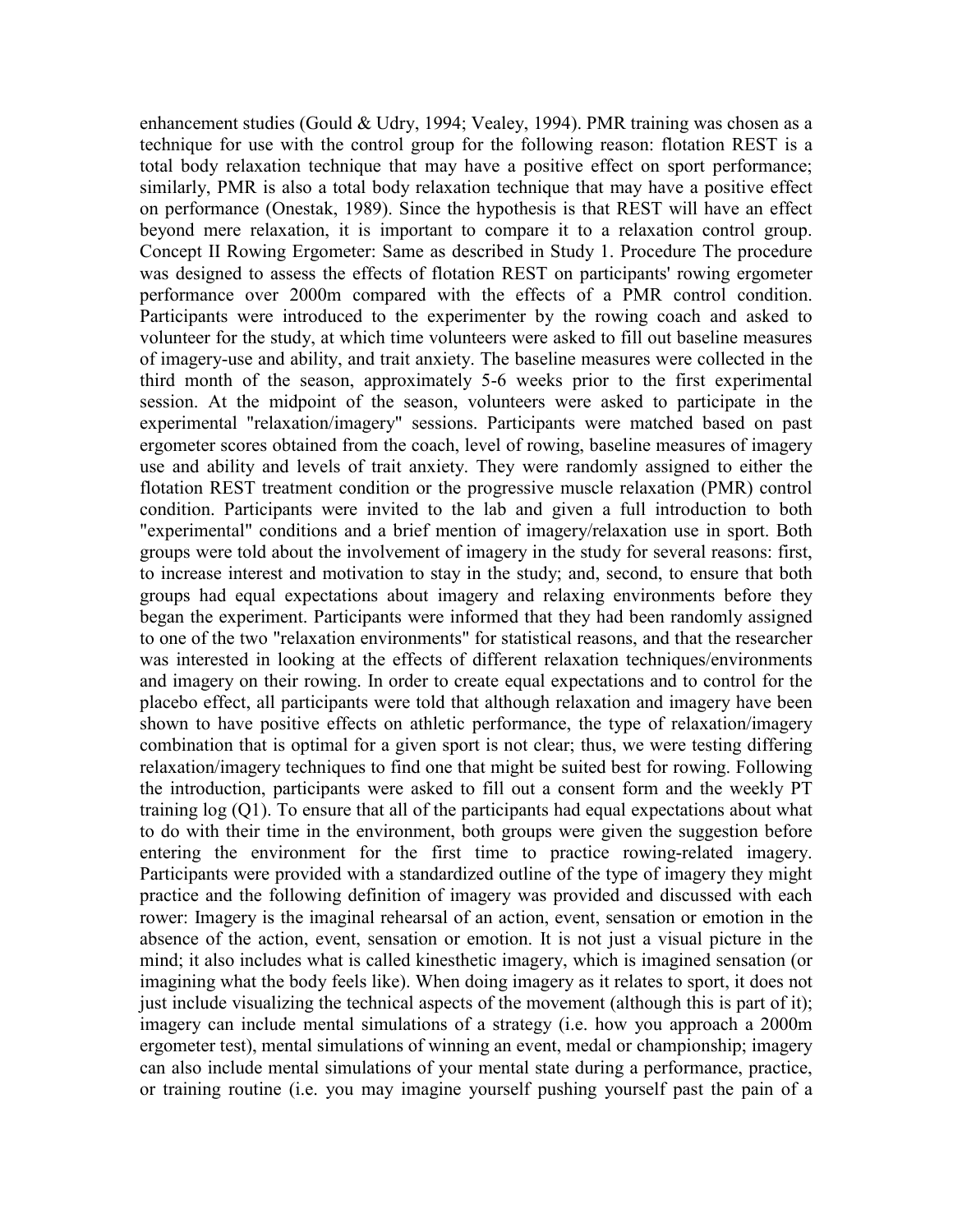enhancement studies (Gould & Udry, 1994; Vealey, 1994). PMR training was chosen as a technique for use with the control group for the following reason: flotation REST is a total body relaxation technique that may have a positive effect on sport performance; similarly, PMR is also a total body relaxation technique that may have a positive effect on performance (Onestak, 1989). Since the hypothesis is that REST will have an effect beyond mere relaxation, it is important to compare it to a relaxation control group. Concept II Rowing Ergometer: Same as described in Study 1. Procedure The procedure was designed to assess the effects of flotation REST on participants' rowing ergometer performance over 2000m compared with the effects of a PMR control condition. Participants were introduced to the experimenter by the rowing coach and asked to volunteer for the study, at which time volunteers were asked to fill out baseline measures of imagery-use and ability, and trait anxiety. The baseline measures were collected in the third month of the season, approximately 5-6 weeks prior to the first experimental session. At the midpoint of the season, volunteers were asked to participate in the experimental "relaxation/imagery" sessions. Participants were matched based on past ergometer scores obtained from the coach, level of rowing, baseline measures of imagery use and ability and levels of trait anxiety. They were randomly assigned to either the flotation REST treatment condition or the progressive muscle relaxation (PMR) control condition. Participants were invited to the lab and given a full introduction to both "experimental" conditions and a brief mention of imagery/relaxation use in sport. Both groups were told about the involvement of imagery in the study for several reasons: first, to increase interest and motivation to stay in the study; and, second, to ensure that both groups had equal expectations about imagery and relaxing environments before they began the experiment. Participants were informed that they had been randomly assigned to one of the two "relaxation environments" for statistical reasons, and that the researcher was interested in looking at the effects of different relaxation techniques/environments and imagery on their rowing. In order to create equal expectations and to control for the placebo effect, all participants were told that although relaxation and imagery have been shown to have positive effects on athletic performance, the type of relaxation/imagery combination that is optimal for a given sport is not clear; thus, we were testing differing relaxation/imagery techniques to find one that might be suited best for rowing. Following the introduction, participants were asked to fill out a consent form and the weekly PT training log (Q1). To ensure that all of the participants had equal expectations about what to do with their time in the environment, both groups were given the suggestion before entering the environment for the first time to practice rowing-related imagery. Participants were provided with a standardized outline of the type of imagery they might practice and the following definition of imagery was provided and discussed with each rower: Imagery is the imaginal rehearsal of an action, event, sensation or emotion in the absence of the action, event, sensation or emotion. It is not just a visual picture in the mind; it also includes what is called kinesthetic imagery, which is imagined sensation (or imagining what the body feels like). When doing imagery as it relates to sport, it does not just include visualizing the technical aspects of the movement (although this is part of it); imagery can include mental simulations of a strategy (i.e. how you approach a 2000m ergometer test), mental simulations of winning an event, medal or championship; imagery can also include mental simulations of your mental state during a performance, practice, or training routine (i.e. you may imagine yourself pushing yourself past the pain of a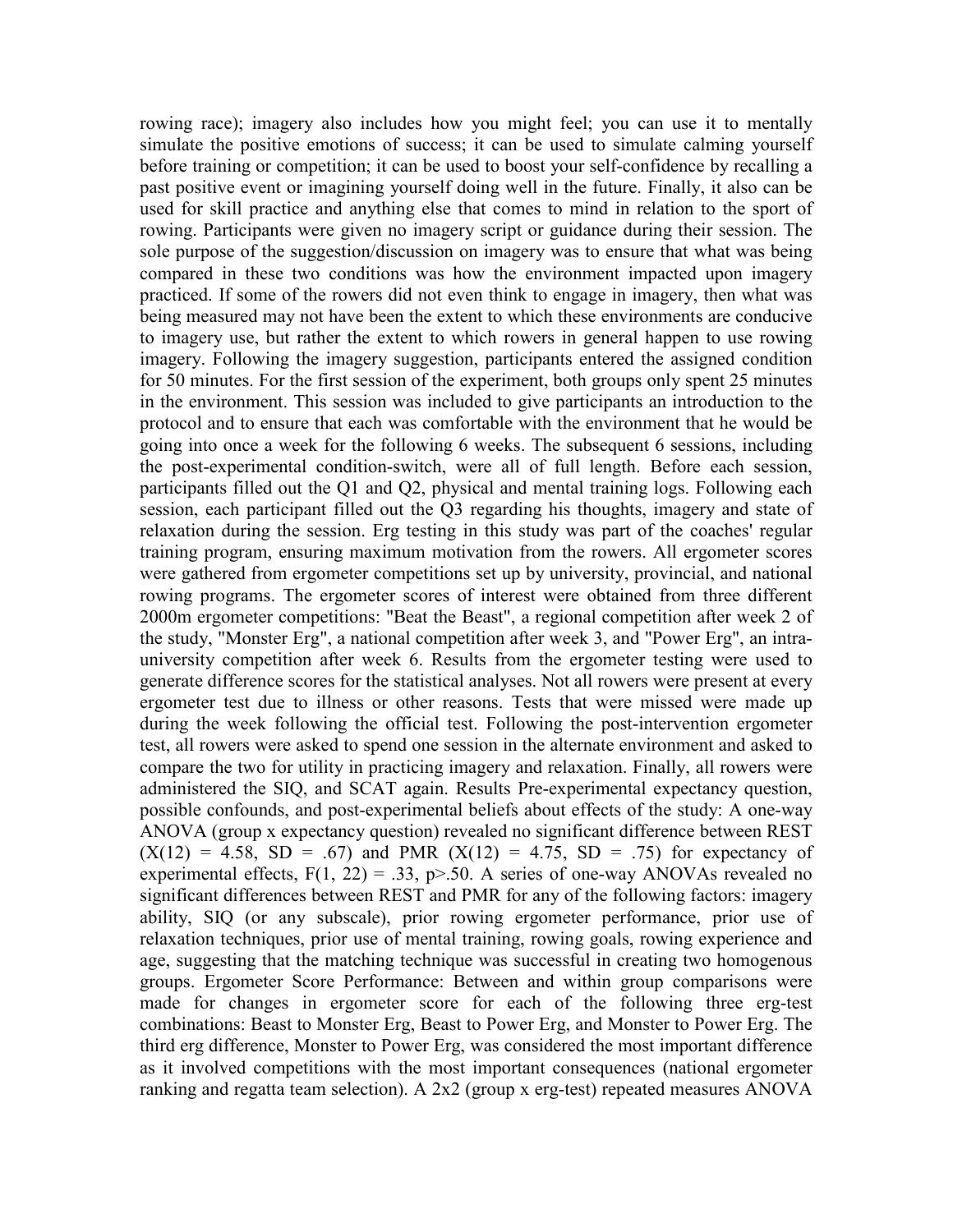rowing race); imagery also includes how you might feel; you can use it to mentally simulate the positive emotions of success; it can be used to simulate calming yourself before training or competition; it can be used to boost your self-confidence by recalling a past positive event or imagining yourself doing well in the future. Finally, it also can be used for skill practice and anything else that comes to mind in relation to the sport of rowing. Participants were given no imagery script or guidance during their session. The sole purpose of the suggestion/discussion on imagery was to ensure that what was being compared in these two conditions was how the environment impacted upon imagery practiced. If some of the rowers did not even think to engage in imagery, then what was being measured may not have been the extent to which these environments are conducive to imagery use, but rather the extent to which rowers in general happen to use rowing imagery. Following the imagery suggestion, participants entered the assigned condition for 50 minutes. For the first session of the experiment, both groups only spent 25 minutes in the environment. This session was included to give participants an introduction to the protocol and to ensure that each was comfortable with the environment that he would be going into once a week for the following 6 weeks. The subsequent 6 sessions, including the post-experimental condition-switch, were all of full length. Before each session, participants filled out the Q1 and Q2, physical and mental training logs. Following each session, each participant filled out the Q3 regarding his thoughts, imagery and state of relaxation during the session. Erg testing in this study was part of the coaches' regular training program, ensuring maximum motivation from the rowers. All ergometer scores were gathered from ergometer competitions set up by university, provincial, and national rowing programs. The ergometer scores of interest were obtained from three different 2000m ergometer competitions: "Beat the Beast", a regional competition after week 2 of the study, "Monster Erg", a national competition after week 3, and "Power Erg", an intrauniversity competition after week 6. Results from the ergometer testing were used to generate difference scores for the statistical analyses. Not all rowers were present at every ergometer test due to illness or other reasons. Tests that were missed were made up during the week following the official test. Following the post-intervention ergometer test, all rowers were asked to spend one session in the alternate environment and asked to compare the two for utility in practicing imagery and relaxation. Finally, all rowers were administered the SIQ, and SCAT again. Results Pre-experimental expectancy question, possible confounds, and post-experimental beliefs about effects of the study: A one-way ANOVA (group x expectancy question) revealed no significant difference between REST  $(X(12) = 4.58, SD = .67)$  and PMR  $(X(12) = 4.75, SD = .75)$  for expectancy of experimental effects,  $F(1, 22) = .33$ ,  $p > .50$ . A series of one-way ANOVAs revealed no significant differences between REST and PMR for any of the following factors: imagery ability, SIQ (or any subscale), prior rowing ergometer performance, prior use of relaxation techniques, prior use of mental training, rowing goals, rowing experience and age, suggesting that the matching technique was successful in creating two homogenous groups. Ergometer Score Performance: Between and within group comparisons were made for changes in ergometer score for each of the following three erg-test combinations: Beast to Monster Erg, Beast to Power Erg, and Monster to Power Erg. The third erg difference, Monster to Power Erg, was considered the most important difference as it involved competitions with the most important consequences (national ergometer ranking and regatta team selection). A 2x2 (group x erg-test) repeated measures ANOVA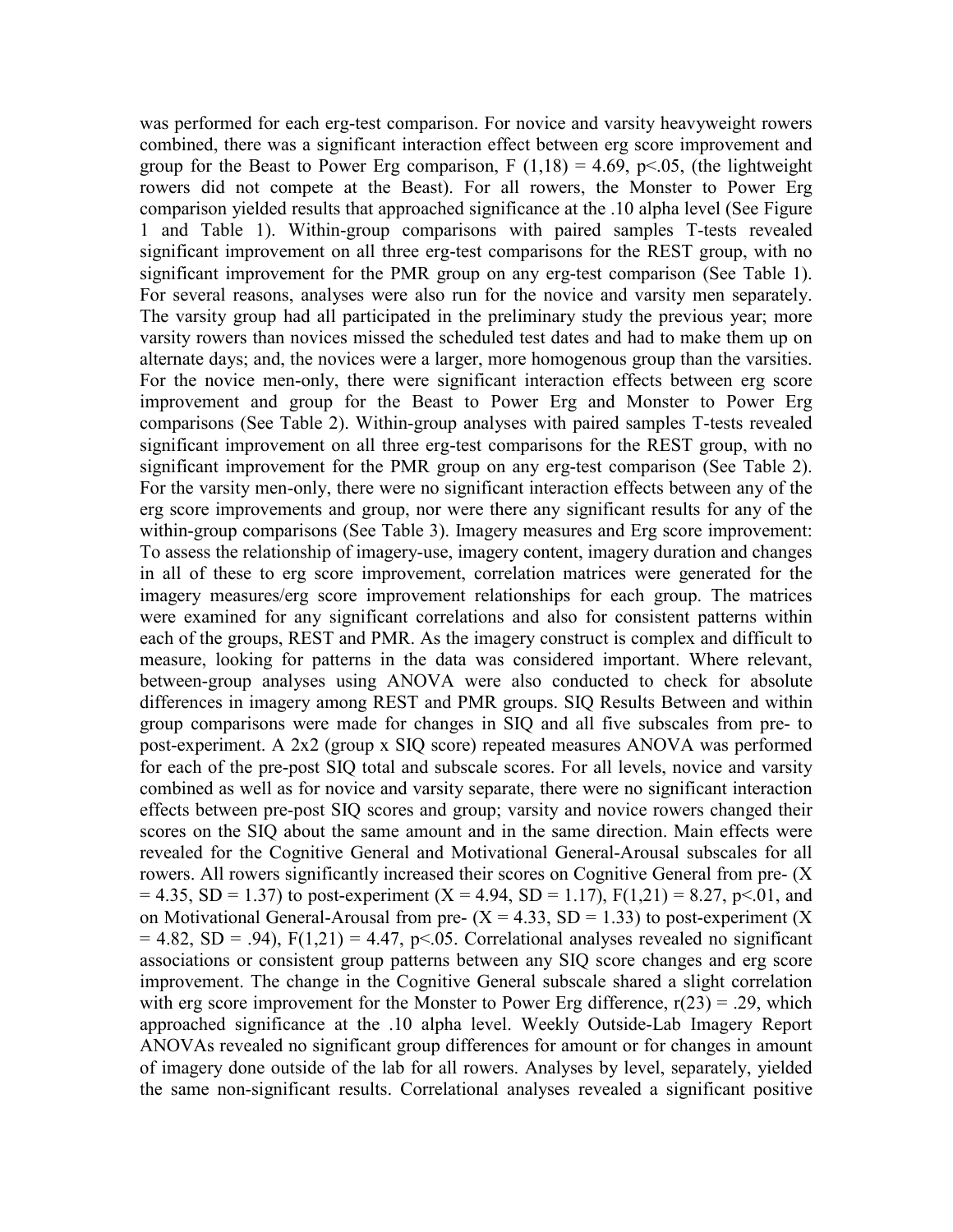was performed for each erg-test comparison. For novice and varsity heavyweight rowers combined, there was a significant interaction effect between erg score improvement and group for the Beast to Power Erg comparison,  $F(1,18) = 4.69$ ,  $p<.05$ , (the lightweight rowers did not compete at the Beast). For all rowers, the Monster to Power Erg comparison yielded results that approached significance at the .10 alpha level (See Figure 1 and Table 1). Within-group comparisons with paired samples T-tests revealed significant improvement on all three erg-test comparisons for the REST group, with no significant improvement for the PMR group on any erg-test comparison (See Table 1). For several reasons, analyses were also run for the novice and varsity men separately. The varsity group had all participated in the preliminary study the previous year; more varsity rowers than novices missed the scheduled test dates and had to make them up on alternate days; and, the novices were a larger, more homogenous group than the varsities. For the novice men-only, there were significant interaction effects between erg score improvement and group for the Beast to Power Erg and Monster to Power Erg comparisons (See Table 2). Within-group analyses with paired samples T-tests revealed significant improvement on all three erg-test comparisons for the REST group, with no significant improvement for the PMR group on any erg-test comparison (See Table 2). For the varsity men-only, there were no significant interaction effects between any of the erg score improvements and group, nor were there any significant results for any of the within-group comparisons (See Table 3). Imagery measures and Erg score improvement: To assess the relationship of imagery-use, imagery content, imagery duration and changes in all of these to erg score improvement, correlation matrices were generated for the imagery measures/erg score improvement relationships for each group. The matrices were examined for any significant correlations and also for consistent patterns within each of the groups, REST and PMR. As the imagery construct is complex and difficult to measure, looking for patterns in the data was considered important. Where relevant, between-group analyses using ANOVA were also conducted to check for absolute differences in imagery among REST and PMR groups. SIQ Results Between and within group comparisons were made for changes in SIQ and all five subscales from pre- to post-experiment. A 2x2 (group x SIQ score) repeated measures ANOVA was performed for each of the pre-post SIQ total and subscale scores. For all levels, novice and varsity combined as well as for novice and varsity separate, there were no significant interaction effects between pre-post SIQ scores and group; varsity and novice rowers changed their scores on the SIQ about the same amount and in the same direction. Main effects were revealed for the Cognitive General and Motivational General-Arousal subscales for all rowers. All rowers significantly increased their scores on Cognitive General from pre- (X  $= 4.35$ , SD = 1.37) to post-experiment (X = 4.94, SD = 1.17), F(1,21) = 8.27, p<.01, and on Motivational General-Arousal from pre-  $(X = 4.33, SD = 1.33)$  to post-experiment  $(X$  $= 4.82$ , SD = .94), F(1,21) = 4.47, p<.05. Correlational analyses revealed no significant associations or consistent group patterns between any SIQ score changes and erg score improvement. The change in the Cognitive General subscale shared a slight correlation with erg score improvement for the Monster to Power Erg difference,  $r(23) = .29$ , which approached significance at the .10 alpha level. Weekly Outside-Lab Imagery Report ANOVAs revealed no significant group differences for amount or for changes in amount of imagery done outside of the lab for all rowers. Analyses by level, separately, yielded the same non-significant results. Correlational analyses revealed a significant positive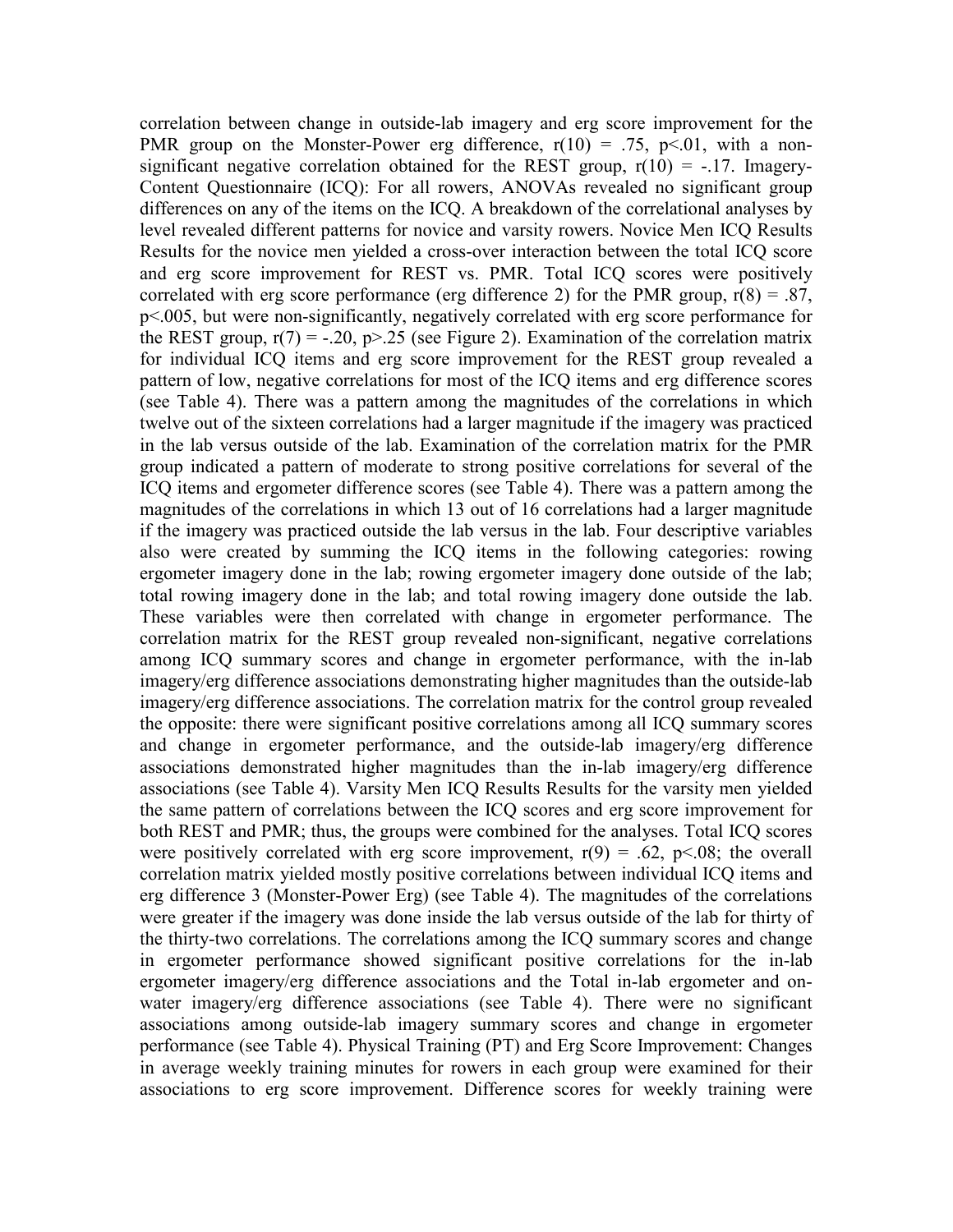correlation between change in outside-lab imagery and erg score improvement for the PMR group on the Monster-Power erg difference,  $r(10) = .75$ ,  $p<.01$ , with a nonsignificant negative correlation obtained for the REST group,  $r(10) = -17$ . Imagery-Content Questionnaire (ICQ): For all rowers, ANOVAs revealed no significant group differences on any of the items on the ICQ. A breakdown of the correlational analyses by level revealed different patterns for novice and varsity rowers. Novice Men ICQ Results Results for the novice men yielded a cross-over interaction between the total ICQ score and erg score improvement for REST vs. PMR. Total ICQ scores were positively correlated with erg score performance (erg difference 2) for the PMR group,  $r(8) = .87$ , p<.005, but were non-significantly, negatively correlated with erg score performance for the REST group,  $r(7) = -.20$ ,  $p > .25$  (see Figure 2). Examination of the correlation matrix for individual ICQ items and erg score improvement for the REST group revealed a pattern of low, negative correlations for most of the ICQ items and erg difference scores (see Table 4). There was a pattern among the magnitudes of the correlations in which twelve out of the sixteen correlations had a larger magnitude if the imagery was practiced in the lab versus outside of the lab. Examination of the correlation matrix for the PMR group indicated a pattern of moderate to strong positive correlations for several of the ICQ items and ergometer difference scores (see Table 4). There was a pattern among the magnitudes of the correlations in which 13 out of 16 correlations had a larger magnitude if the imagery was practiced outside the lab versus in the lab. Four descriptive variables also were created by summing the ICQ items in the following categories: rowing ergometer imagery done in the lab; rowing ergometer imagery done outside of the lab; total rowing imagery done in the lab; and total rowing imagery done outside the lab. These variables were then correlated with change in ergometer performance. The correlation matrix for the REST group revealed non-significant, negative correlations among ICQ summary scores and change in ergometer performance, with the in-lab imagery/erg difference associations demonstrating higher magnitudes than the outside-lab imagery/erg difference associations. The correlation matrix for the control group revealed the opposite: there were significant positive correlations among all ICQ summary scores and change in ergometer performance, and the outside-lab imagery/erg difference associations demonstrated higher magnitudes than the in-lab imagery/erg difference associations (see Table 4). Varsity Men ICQ Results Results for the varsity men yielded the same pattern of correlations between the ICQ scores and erg score improvement for both REST and PMR; thus, the groups were combined for the analyses. Total ICQ scores were positively correlated with erg score improvement,  $r(9) = .62$ ,  $p \le 0.08$ ; the overall correlation matrix yielded mostly positive correlations between individual ICQ items and erg difference 3 (Monster-Power Erg) (see Table 4). The magnitudes of the correlations were greater if the imagery was done inside the lab versus outside of the lab for thirty of the thirty-two correlations. The correlations among the ICQ summary scores and change in ergometer performance showed significant positive correlations for the in-lab ergometer imagery/erg difference associations and the Total in-lab ergometer and onwater imagery/erg difference associations (see Table 4). There were no significant associations among outside-lab imagery summary scores and change in ergometer performance (see Table 4). Physical Training (PT) and Erg Score Improvement: Changes in average weekly training minutes for rowers in each group were examined for their associations to erg score improvement. Difference scores for weekly training were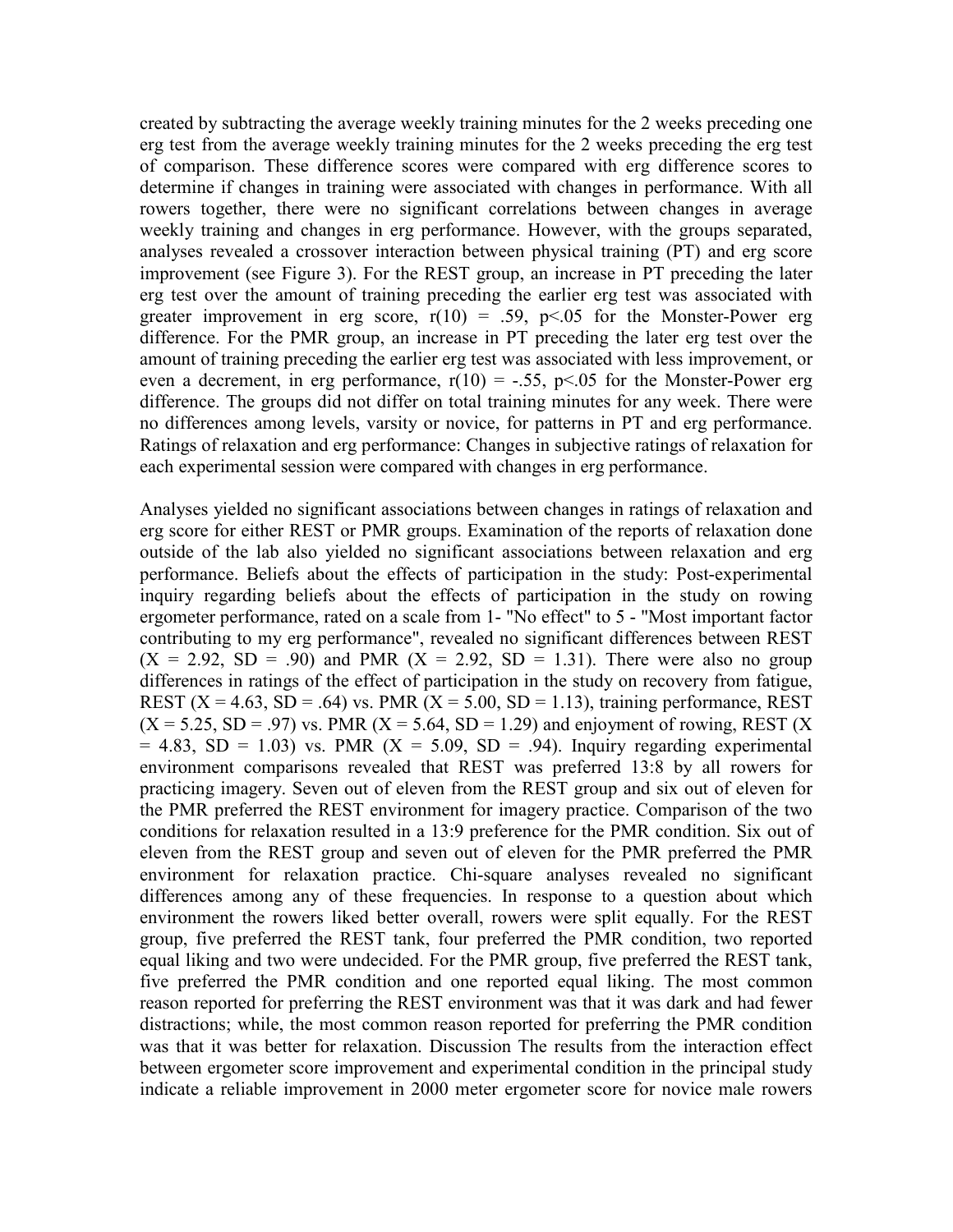created by subtracting the average weekly training minutes for the 2 weeks preceding one erg test from the average weekly training minutes for the 2 weeks preceding the erg test of comparison. These difference scores were compared with erg difference scores to determine if changes in training were associated with changes in performance. With all rowers together, there were no significant correlations between changes in average weekly training and changes in erg performance. However, with the groups separated, analyses revealed a crossover interaction between physical training (PT) and erg score improvement (see Figure 3). For the REST group, an increase in PT preceding the later erg test over the amount of training preceding the earlier erg test was associated with greater improvement in erg score,  $r(10) = .59$ ,  $p<0.05$  for the Monster-Power erg difference. For the PMR group, an increase in PT preceding the later erg test over the amount of training preceding the earlier erg test was associated with less improvement, or even a decrement, in erg performance,  $r(10) = -.55$ ,  $p \le 0.05$  for the Monster-Power erg difference. The groups did not differ on total training minutes for any week. There were no differences among levels, varsity or novice, for patterns in PT and erg performance. Ratings of relaxation and erg performance: Changes in subjective ratings of relaxation for each experimental session were compared with changes in erg performance.

Analyses yielded no significant associations between changes in ratings of relaxation and erg score for either REST or PMR groups. Examination of the reports of relaxation done outside of the lab also yielded no significant associations between relaxation and erg performance. Beliefs about the effects of participation in the study: Post-experimental inquiry regarding beliefs about the effects of participation in the study on rowing ergometer performance, rated on a scale from 1- "No effect" to 5 - "Most important factor contributing to my erg performance", revealed no significant differences between REST  $(X = 2.92, SD = .90)$  and PMR  $(X = 2.92, SD = 1.31)$ . There were also no group differences in ratings of the effect of participation in the study on recovery from fatigue, REST  $(X = 4.63, SD = .64)$  vs. PMR  $(X = 5.00, SD = 1.13)$ , training performance, REST  $(X = 5.25, SD = .97)$  vs. PMR  $(X = 5.64, SD = 1.29)$  and enjoyment of rowing, REST  $(X = 5.25, SD = .97)$  $= 4.83$ , SD  $= 1.03$ ) vs. PMR  $(X = 5.09, SD = .94)$ . Inquiry regarding experimental environment comparisons revealed that REST was preferred 13:8 by all rowers for practicing imagery. Seven out of eleven from the REST group and six out of eleven for the PMR preferred the REST environment for imagery practice. Comparison of the two conditions for relaxation resulted in a 13:9 preference for the PMR condition. Six out of eleven from the REST group and seven out of eleven for the PMR preferred the PMR environment for relaxation practice. Chi-square analyses revealed no significant differences among any of these frequencies. In response to a question about which environment the rowers liked better overall, rowers were split equally. For the REST group, five preferred the REST tank, four preferred the PMR condition, two reported equal liking and two were undecided. For the PMR group, five preferred the REST tank, five preferred the PMR condition and one reported equal liking. The most common reason reported for preferring the REST environment was that it was dark and had fewer distractions; while, the most common reason reported for preferring the PMR condition was that it was better for relaxation. Discussion The results from the interaction effect between ergometer score improvement and experimental condition in the principal study indicate a reliable improvement in 2000 meter ergometer score for novice male rowers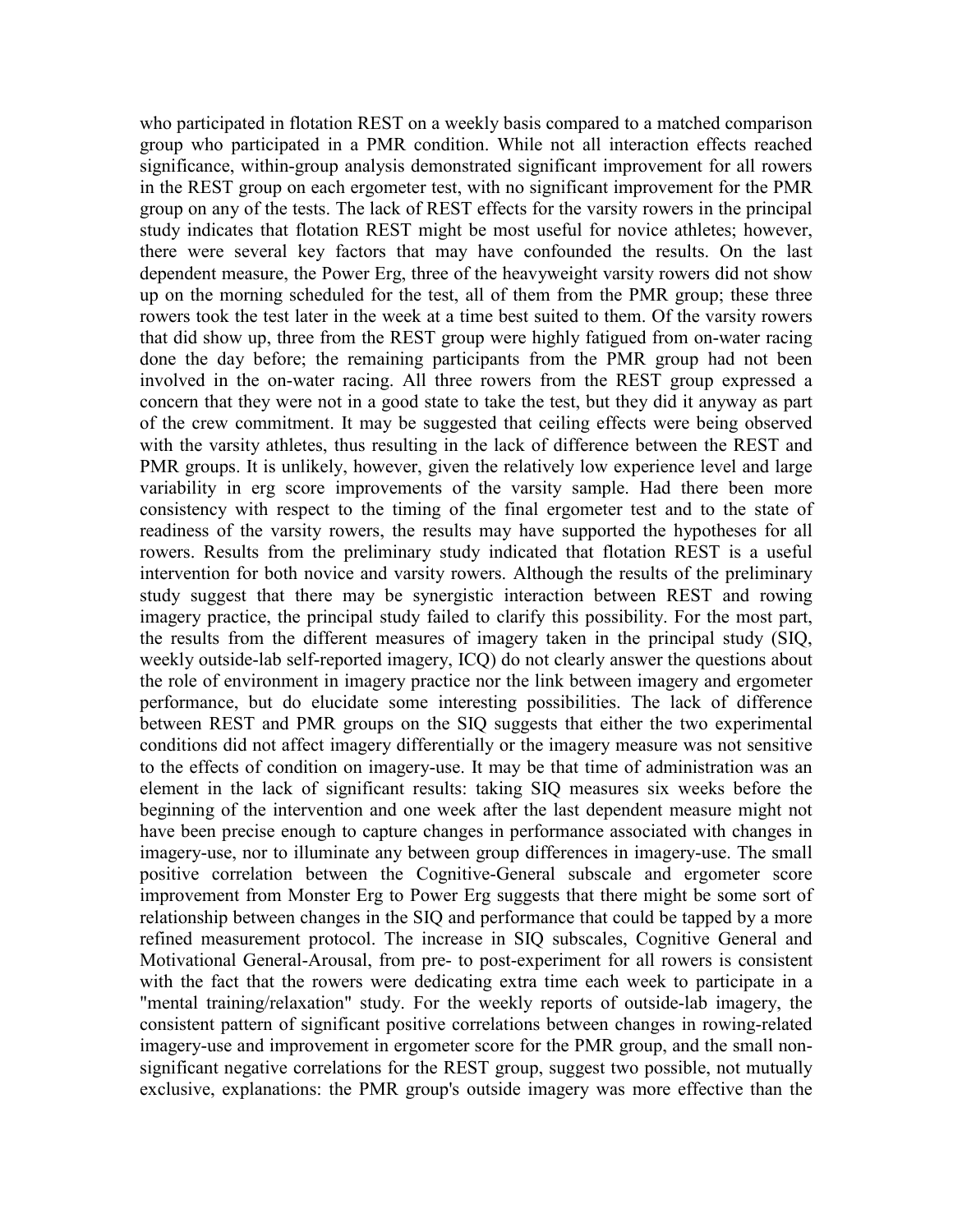who participated in flotation REST on a weekly basis compared to a matched comparison group who participated in a PMR condition. While not all interaction effects reached significance, within-group analysis demonstrated significant improvement for all rowers in the REST group on each ergometer test, with no significant improvement for the PMR group on any of the tests. The lack of REST effects for the varsity rowers in the principal study indicates that flotation REST might be most useful for novice athletes; however, there were several key factors that may have confounded the results. On the last dependent measure, the Power Erg, three of the heavyweight varsity rowers did not show up on the morning scheduled for the test, all of them from the PMR group; these three rowers took the test later in the week at a time best suited to them. Of the varsity rowers that did show up, three from the REST group were highly fatigued from on-water racing done the day before; the remaining participants from the PMR group had not been involved in the on-water racing. All three rowers from the REST group expressed a concern that they were not in a good state to take the test, but they did it anyway as part of the crew commitment. It may be suggested that ceiling effects were being observed with the varsity athletes, thus resulting in the lack of difference between the REST and PMR groups. It is unlikely, however, given the relatively low experience level and large variability in erg score improvements of the varsity sample. Had there been more consistency with respect to the timing of the final ergometer test and to the state of readiness of the varsity rowers, the results may have supported the hypotheses for all rowers. Results from the preliminary study indicated that flotation REST is a useful intervention for both novice and varsity rowers. Although the results of the preliminary study suggest that there may be synergistic interaction between REST and rowing imagery practice, the principal study failed to clarify this possibility. For the most part, the results from the different measures of imagery taken in the principal study (SIQ, weekly outside-lab self-reported imagery, ICQ) do not clearly answer the questions about the role of environment in imagery practice nor the link between imagery and ergometer performance, but do elucidate some interesting possibilities. The lack of difference between REST and PMR groups on the SIQ suggests that either the two experimental conditions did not affect imagery differentially or the imagery measure was not sensitive to the effects of condition on imagery-use. It may be that time of administration was an element in the lack of significant results: taking SIQ measures six weeks before the beginning of the intervention and one week after the last dependent measure might not have been precise enough to capture changes in performance associated with changes in imagery-use, nor to illuminate any between group differences in imagery-use. The small positive correlation between the Cognitive-General subscale and ergometer score improvement from Monster Erg to Power Erg suggests that there might be some sort of relationship between changes in the SIQ and performance that could be tapped by a more refined measurement protocol. The increase in SIQ subscales, Cognitive General and Motivational General-Arousal, from pre- to post-experiment for all rowers is consistent with the fact that the rowers were dedicating extra time each week to participate in a "mental training/relaxation" study. For the weekly reports of outside-lab imagery, the consistent pattern of significant positive correlations between changes in rowing-related imagery-use and improvement in ergometer score for the PMR group, and the small nonsignificant negative correlations for the REST group, suggest two possible, not mutually exclusive, explanations: the PMR group's outside imagery was more effective than the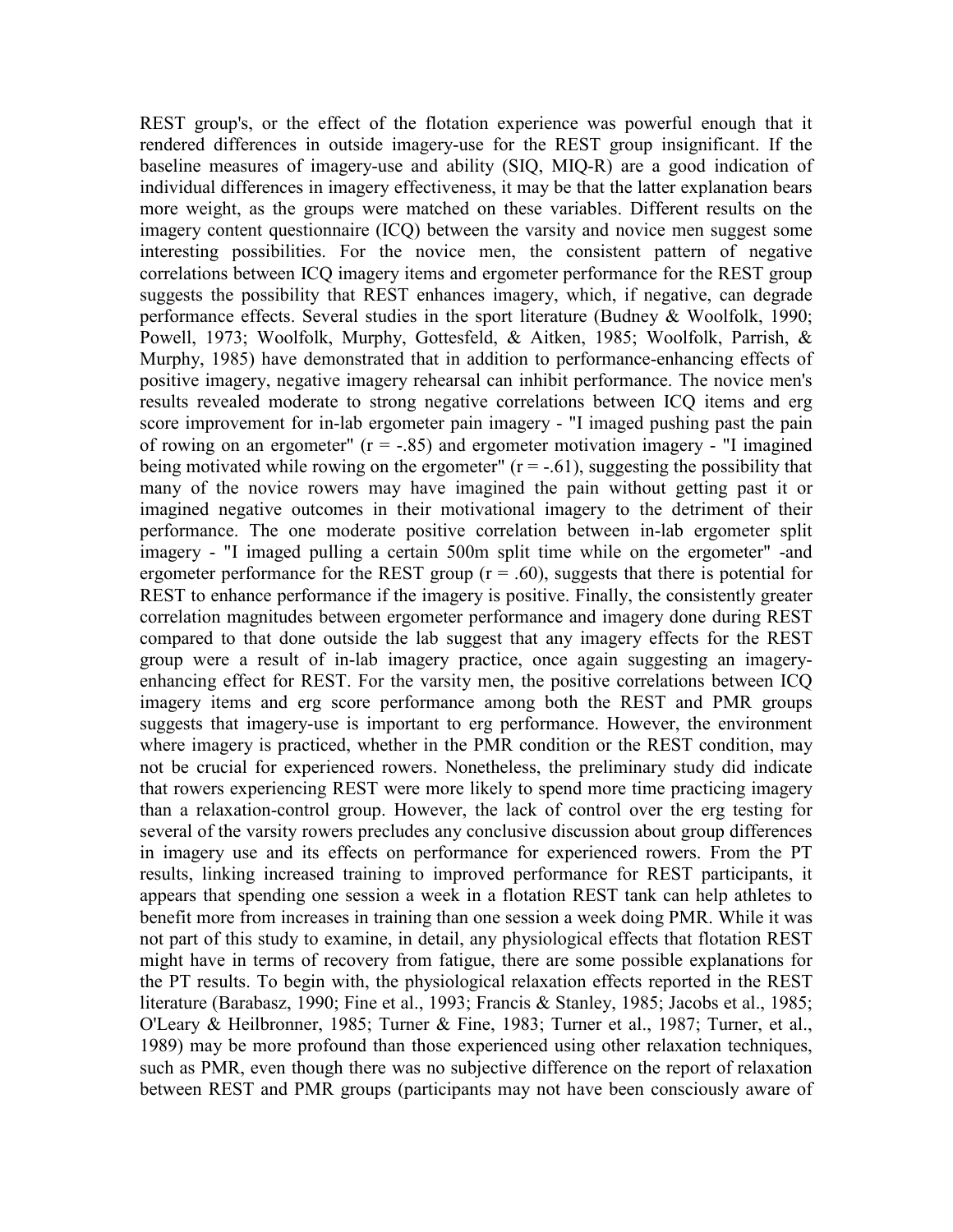REST group's, or the effect of the flotation experience was powerful enough that it rendered differences in outside imagery-use for the REST group insignificant. If the baseline measures of imagery-use and ability (SIQ, MIQ-R) are a good indication of individual differences in imagery effectiveness, it may be that the latter explanation bears more weight, as the groups were matched on these variables. Different results on the imagery content questionnaire (ICQ) between the varsity and novice men suggest some interesting possibilities. For the novice men, the consistent pattern of negative correlations between ICQ imagery items and ergometer performance for the REST group suggests the possibility that REST enhances imagery, which, if negative, can degrade performance effects. Several studies in the sport literature (Budney & Woolfolk, 1990; Powell, 1973; Woolfolk, Murphy, Gottesfeld, & Aitken, 1985; Woolfolk, Parrish, & Murphy, 1985) have demonstrated that in addition to performance-enhancing effects of positive imagery, negative imagery rehearsal can inhibit performance. The novice men's results revealed moderate to strong negative correlations between ICQ items and erg score improvement for in-lab ergometer pain imagery - "I imaged pushing past the pain of rowing on an ergometer"  $(r = -.85)$  and ergometer motivation imagery - "I imagined being motivated while rowing on the ergometer"  $(r = -.61)$ , suggesting the possibility that many of the novice rowers may have imagined the pain without getting past it or imagined negative outcomes in their motivational imagery to the detriment of their performance. The one moderate positive correlation between in-lab ergometer split imagery - "I imaged pulling a certain 500m split time while on the ergometer" -and ergometer performance for the REST group  $(r = .60)$ , suggests that there is potential for REST to enhance performance if the imagery is positive. Finally, the consistently greater correlation magnitudes between ergometer performance and imagery done during REST compared to that done outside the lab suggest that any imagery effects for the REST group were a result of in-lab imagery practice, once again suggesting an imageryenhancing effect for REST. For the varsity men, the positive correlations between ICQ imagery items and erg score performance among both the REST and PMR groups suggests that imagery-use is important to erg performance. However, the environment where imagery is practiced, whether in the PMR condition or the REST condition, may not be crucial for experienced rowers. Nonetheless, the preliminary study did indicate that rowers experiencing REST were more likely to spend more time practicing imagery than a relaxation-control group. However, the lack of control over the erg testing for several of the varsity rowers precludes any conclusive discussion about group differences in imagery use and its effects on performance for experienced rowers. From the PT results, linking increased training to improved performance for REST participants, it appears that spending one session a week in a flotation REST tank can help athletes to benefit more from increases in training than one session a week doing PMR. While it was not part of this study to examine, in detail, any physiological effects that flotation REST might have in terms of recovery from fatigue, there are some possible explanations for the PT results. To begin with, the physiological relaxation effects reported in the REST literature (Barabasz, 1990; Fine et al., 1993; Francis & Stanley, 1985; Jacobs et al., 1985; O'Leary & Heilbronner, 1985; Turner & Fine, 1983; Turner et al., 1987; Turner, et al., 1989) may be more profound than those experienced using other relaxation techniques, such as PMR, even though there was no subjective difference on the report of relaxation between REST and PMR groups (participants may not have been consciously aware of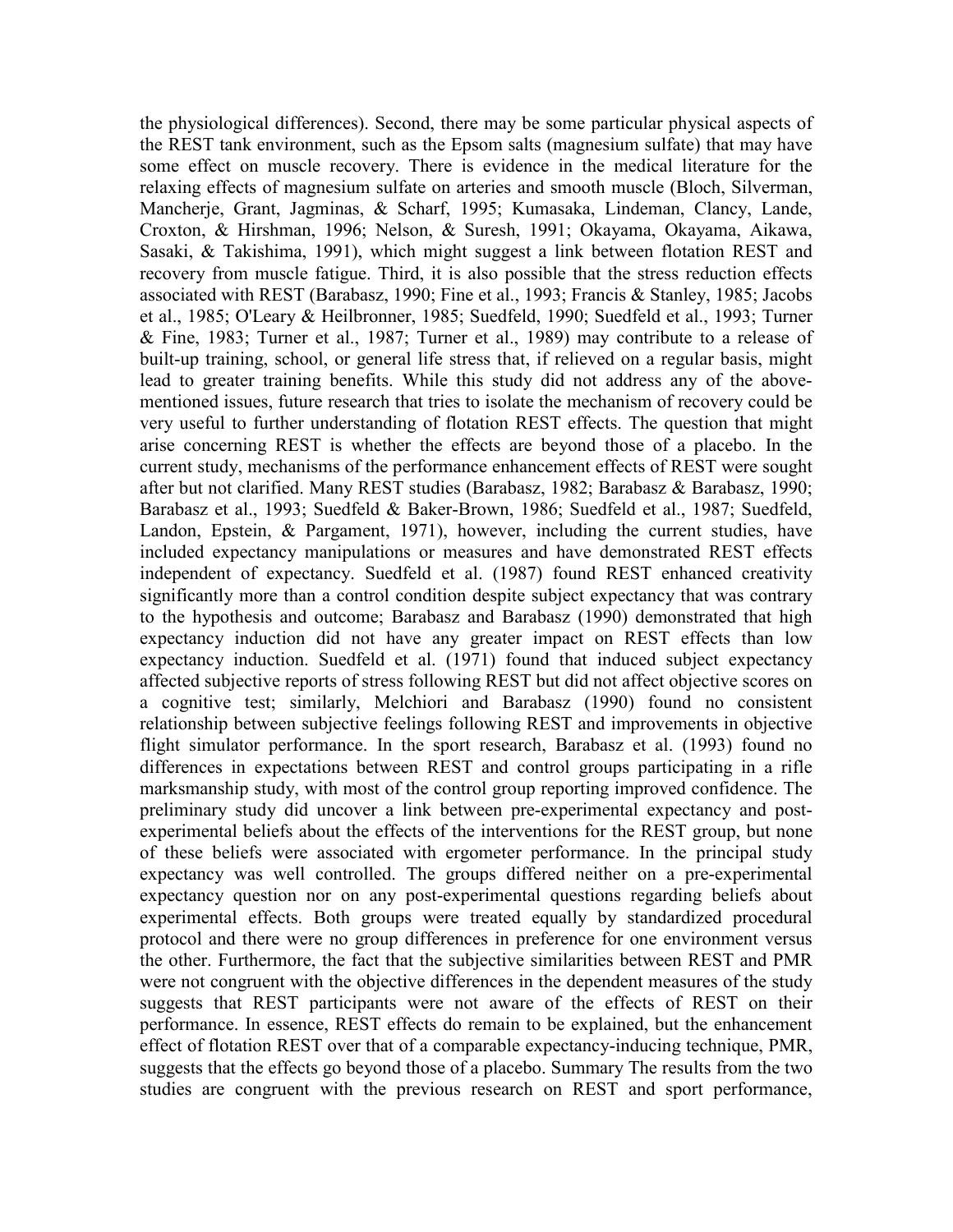the physiological differences). Second, there may be some particular physical aspects of the REST tank environment, such as the Epsom salts (magnesium sulfate) that may have some effect on muscle recovery. There is evidence in the medical literature for the relaxing effects of magnesium sulfate on arteries and smooth muscle (Bloch, Silverman, Mancherje, Grant, Jagminas, & Scharf, 1995; Kumasaka, Lindeman, Clancy, Lande, Croxton, & Hirshman, 1996; Nelson, & Suresh, 1991; Okayama, Okayama, Aikawa, Sasaki, & Takishima, 1991), which might suggest a link between flotation REST and recovery from muscle fatigue. Third, it is also possible that the stress reduction effects associated with REST (Barabasz, 1990; Fine et al., 1993; Francis & Stanley, 1985; Jacobs et al., 1985; O'Leary & Heilbronner, 1985; Suedfeld, 1990; Suedfeld et al., 1993; Turner & Fine, 1983; Turner et al., 1987; Turner et al., 1989) may contribute to a release of built-up training, school, or general life stress that, if relieved on a regular basis, might lead to greater training benefits. While this study did not address any of the abovementioned issues, future research that tries to isolate the mechanism of recovery could be very useful to further understanding of flotation REST effects. The question that might arise concerning REST is whether the effects are beyond those of a placebo. In the current study, mechanisms of the performance enhancement effects of REST were sought after but not clarified. Many REST studies (Barabasz, 1982; Barabasz & Barabasz, 1990; Barabasz et al., 1993; Suedfeld & Baker-Brown, 1986; Suedfeld et al., 1987; Suedfeld, Landon, Epstein, & Pargament, 1971), however, including the current studies, have included expectancy manipulations or measures and have demonstrated REST effects independent of expectancy. Suedfeld et al. (1987) found REST enhanced creativity significantly more than a control condition despite subject expectancy that was contrary to the hypothesis and outcome; Barabasz and Barabasz (1990) demonstrated that high expectancy induction did not have any greater impact on REST effects than low expectancy induction. Suedfeld et al. (1971) found that induced subject expectancy affected subjective reports of stress following REST but did not affect objective scores on a cognitive test; similarly, Melchiori and Barabasz (1990) found no consistent relationship between subjective feelings following REST and improvements in objective flight simulator performance. In the sport research, Barabasz et al. (1993) found no differences in expectations between REST and control groups participating in a rifle marksmanship study, with most of the control group reporting improved confidence. The preliminary study did uncover a link between pre-experimental expectancy and postexperimental beliefs about the effects of the interventions for the REST group, but none of these beliefs were associated with ergometer performance. In the principal study expectancy was well controlled. The groups differed neither on a pre-experimental expectancy question nor on any post-experimental questions regarding beliefs about experimental effects. Both groups were treated equally by standardized procedural protocol and there were no group differences in preference for one environment versus the other. Furthermore, the fact that the subjective similarities between REST and PMR were not congruent with the objective differences in the dependent measures of the study suggests that REST participants were not aware of the effects of REST on their performance. In essence, REST effects do remain to be explained, but the enhancement effect of flotation REST over that of a comparable expectancy-inducing technique, PMR, suggests that the effects go beyond those of a placebo. Summary The results from the two studies are congruent with the previous research on REST and sport performance,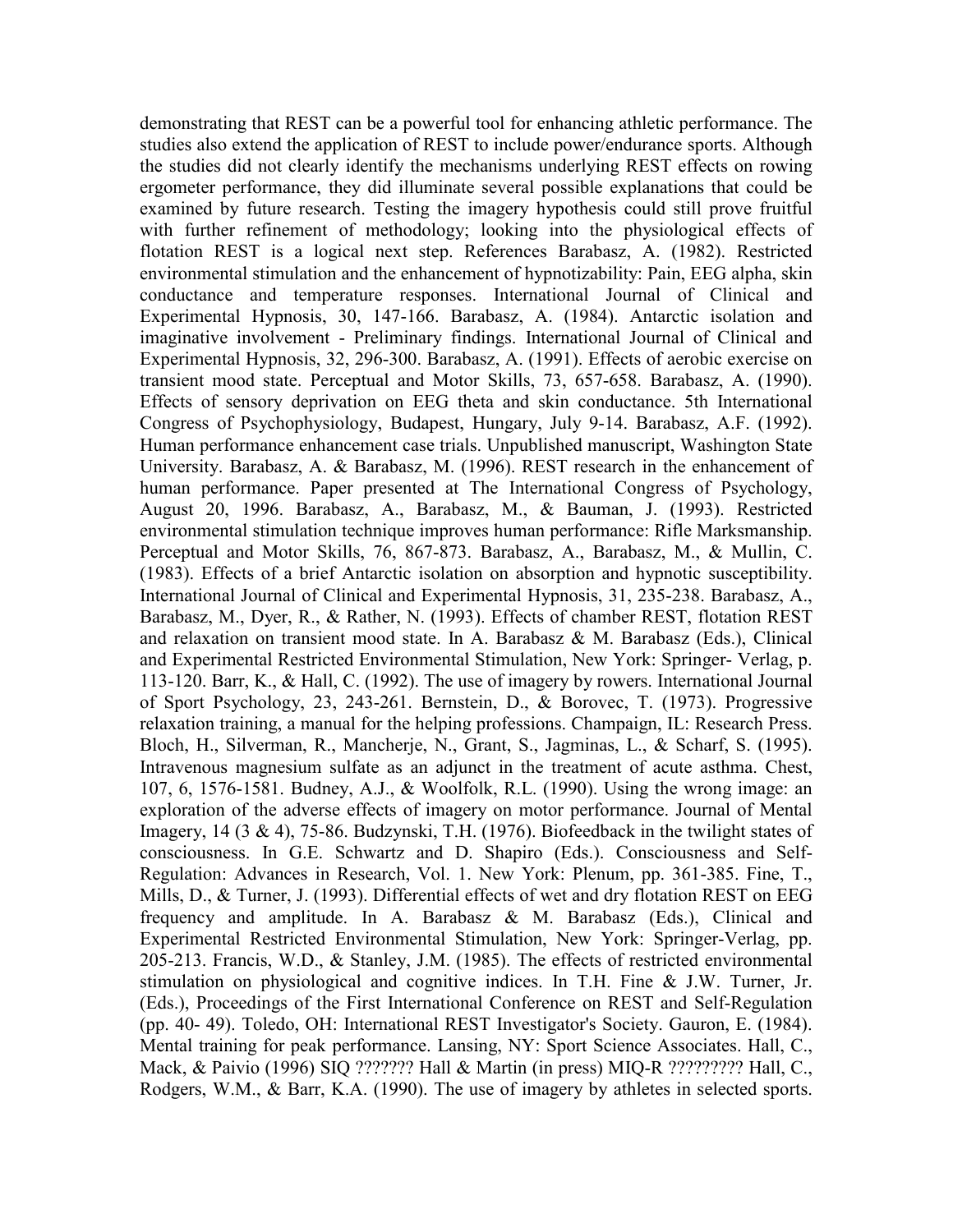demonstrating that REST can be a powerful tool for enhancing athletic performance. The studies also extend the application of REST to include power/endurance sports. Although the studies did not clearly identify the mechanisms underlying REST effects on rowing ergometer performance, they did illuminate several possible explanations that could be examined by future research. Testing the imagery hypothesis could still prove fruitful with further refinement of methodology; looking into the physiological effects of flotation REST is a logical next step. References Barabasz, A. (1982). Restricted environmental stimulation and the enhancement of hypnotizability: Pain, EEG alpha, skin conductance and temperature responses. International Journal of Clinical and Experimental Hypnosis, 30, 147-166. Barabasz, A. (1984). Antarctic isolation and imaginative involvement - Preliminary findings. International Journal of Clinical and Experimental Hypnosis, 32, 296-300. Barabasz, A. (1991). Effects of aerobic exercise on transient mood state. Perceptual and Motor Skills, 73, 657-658. Barabasz, A. (1990). Effects of sensory deprivation on EEG theta and skin conductance. 5th International Congress of Psychophysiology, Budapest, Hungary, July 9-14. Barabasz, A.F. (1992). Human performance enhancement case trials. Unpublished manuscript, Washington State University. Barabasz, A. & Barabasz, M. (1996). REST research in the enhancement of human performance. Paper presented at The International Congress of Psychology, August 20, 1996. Barabasz, A., Barabasz, M., & Bauman, J. (1993). Restricted environmental stimulation technique improves human performance: Rifle Marksmanship. Perceptual and Motor Skills, 76, 867-873. Barabasz, A., Barabasz, M., & Mullin, C. (1983). Effects of a brief Antarctic isolation on absorption and hypnotic susceptibility. International Journal of Clinical and Experimental Hypnosis, 31, 235-238. Barabasz, A., Barabasz, M., Dyer, R., & Rather, N. (1993). Effects of chamber REST, flotation REST and relaxation on transient mood state. In A. Barabasz & M. Barabasz (Eds.), Clinical and Experimental Restricted Environmental Stimulation, New York: Springer- Verlag, p. 113-120. Barr, K., & Hall, C. (1992). The use of imagery by rowers. International Journal of Sport Psychology, 23, 243-261. Bernstein, D., & Borovec, T. (1973). Progressive relaxation training, a manual for the helping professions. Champaign, IL: Research Press. Bloch, H., Silverman, R., Mancherje, N., Grant, S., Jagminas, L., & Scharf, S. (1995). Intravenous magnesium sulfate as an adjunct in the treatment of acute asthma. Chest, 107, 6, 1576-1581. Budney, A.J., & Woolfolk, R.L. (1990). Using the wrong image: an exploration of the adverse effects of imagery on motor performance. Journal of Mental Imagery, 14 (3 & 4), 75-86. Budzynski, T.H. (1976). Biofeedback in the twilight states of consciousness. In G.E. Schwartz and D. Shapiro (Eds.). Consciousness and Self-Regulation: Advances in Research, Vol. 1. New York: Plenum, pp. 361-385. Fine, T., Mills, D., & Turner, J. (1993). Differential effects of wet and dry flotation REST on EEG frequency and amplitude. In A. Barabasz  $\& M.$  Barabasz (Eds.), Clinical and Experimental Restricted Environmental Stimulation, New York: Springer-Verlag, pp. 205-213. Francis, W.D., & Stanley, J.M. (1985). The effects of restricted environmental stimulation on physiological and cognitive indices. In T.H. Fine & J.W. Turner, Jr. (Eds.), Proceedings of the First International Conference on REST and Self-Regulation (pp. 40- 49). Toledo, OH: International REST Investigator's Society. Gauron, E. (1984). Mental training for peak performance. Lansing, NY: Sport Science Associates. Hall, C., Mack, & Paivio (1996) SIQ ??????? Hall & Martin (in press) MIQ-R ????????? Hall, C., Rodgers, W.M., & Barr, K.A. (1990). The use of imagery by athletes in selected sports.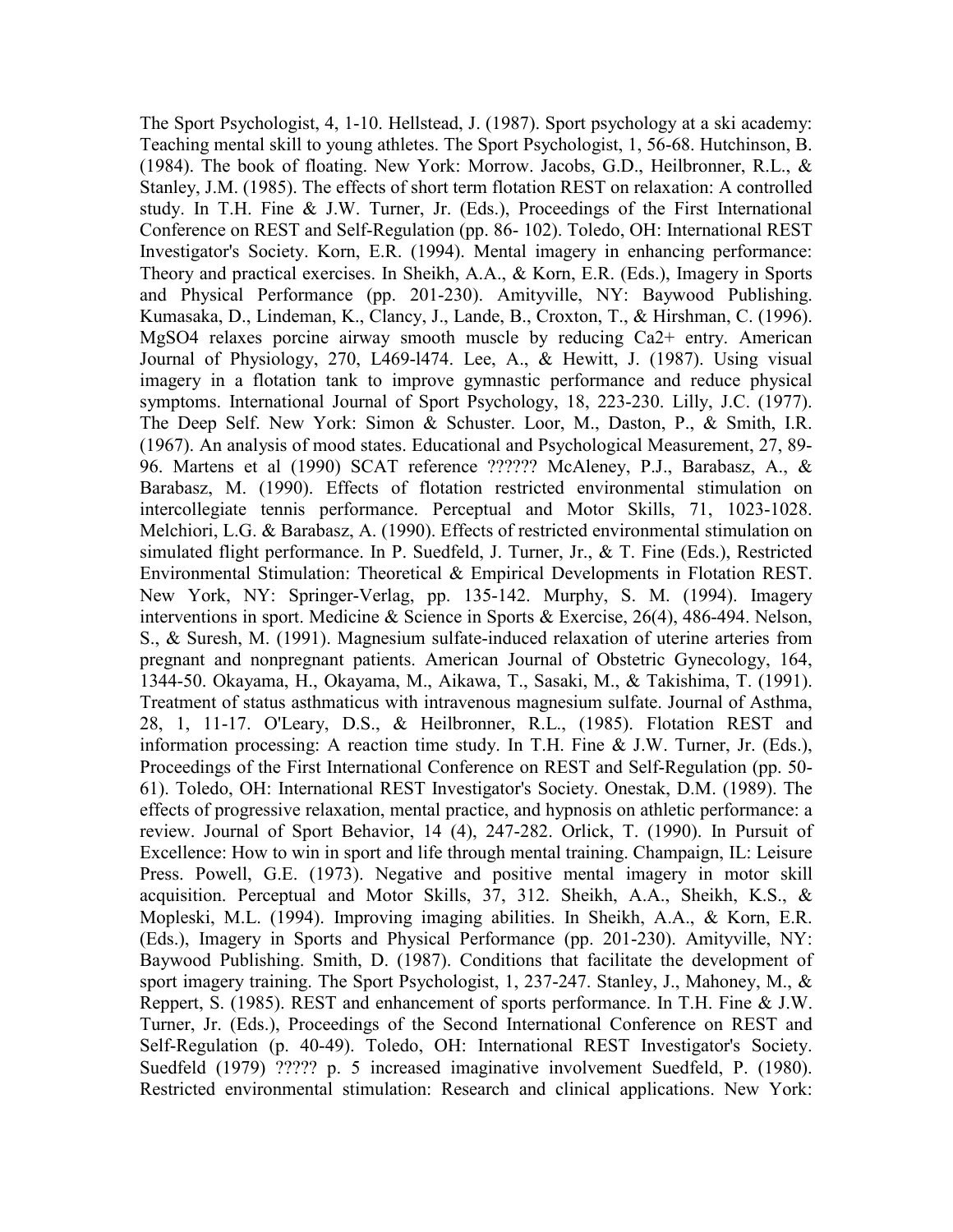The Sport Psychologist, 4, 1-10. Hellstead, J. (1987). Sport psychology at a ski academy: Teaching mental skill to young athletes. The Sport Psychologist, 1, 56-68. Hutchinson, B. (1984). The book of floating. New York: Morrow. Jacobs, G.D., Heilbronner, R.L., & Stanley, J.M. (1985). The effects of short term flotation REST on relaxation: A controlled study. In T.H. Fine & J.W. Turner, Jr. (Eds.), Proceedings of the First International Conference on REST and Self-Regulation (pp. 86- 102). Toledo, OH: International REST Investigator's Society. Korn, E.R. (1994). Mental imagery in enhancing performance: Theory and practical exercises. In Sheikh, A.A., & Korn, E.R. (Eds.), Imagery in Sports and Physical Performance (pp. 201-230). Amityville, NY: Baywood Publishing. Kumasaka, D., Lindeman, K., Clancy, J., Lande, B., Croxton, T., & Hirshman, C. (1996). MgSO4 relaxes porcine airway smooth muscle by reducing Ca2+ entry. American Journal of Physiology, 270, L469-l474. Lee, A., & Hewitt, J. (1987). Using visual imagery in a flotation tank to improve gymnastic performance and reduce physical symptoms. International Journal of Sport Psychology, 18, 223-230. Lilly, J.C. (1977). The Deep Self. New York: Simon & Schuster. Loor, M., Daston, P., & Smith, I.R. (1967). An analysis of mood states. Educational and Psychological Measurement, 27, 89- 96. Martens et al (1990) SCAT reference ?????? McAleney, P.J., Barabasz, A., & Barabasz, M. (1990). Effects of flotation restricted environmental stimulation on intercollegiate tennis performance. Perceptual and Motor Skills, 71, 1023-1028. Melchiori, L.G. & Barabasz, A. (1990). Effects of restricted environmental stimulation on simulated flight performance. In P. Suedfeld, J. Turner, Jr., & T. Fine (Eds.), Restricted Environmental Stimulation: Theoretical & Empirical Developments in Flotation REST. New York, NY: Springer-Verlag, pp. 135-142. Murphy, S. M. (1994). Imagery interventions in sport. Medicine & Science in Sports & Exercise, 26(4), 486-494. Nelson, S., & Suresh, M. (1991). Magnesium sulfate-induced relaxation of uterine arteries from pregnant and nonpregnant patients. American Journal of Obstetric Gynecology, 164, 1344-50. Okayama, H., Okayama, M., Aikawa, T., Sasaki, M., & Takishima, T. (1991). Treatment of status asthmaticus with intravenous magnesium sulfate. Journal of Asthma, 28, 1, 11-17. O'Leary, D.S., & Heilbronner, R.L., (1985). Flotation REST and information processing: A reaction time study. In T.H. Fine & J.W. Turner, Jr. (Eds.), Proceedings of the First International Conference on REST and Self-Regulation (pp. 50- 61). Toledo, OH: International REST Investigator's Society. Onestak, D.M. (1989). The effects of progressive relaxation, mental practice, and hypnosis on athletic performance: a review. Journal of Sport Behavior, 14 (4), 247-282. Orlick, T. (1990). In Pursuit of Excellence: How to win in sport and life through mental training. Champaign, IL: Leisure Press. Powell, G.E. (1973). Negative and positive mental imagery in motor skill acquisition. Perceptual and Motor Skills, 37, 312. Sheikh, A.A., Sheikh, K.S., & Mopleski, M.L. (1994). Improving imaging abilities. In Sheikh, A.A., & Korn, E.R. (Eds.), Imagery in Sports and Physical Performance (pp. 201-230). Amityville, NY: Baywood Publishing. Smith, D. (1987). Conditions that facilitate the development of sport imagery training. The Sport Psychologist, 1, 237-247. Stanley, J., Mahoney, M., & Reppert, S. (1985). REST and enhancement of sports performance. In T.H. Fine & J.W. Turner, Jr. (Eds.), Proceedings of the Second International Conference on REST and Self-Regulation (p. 40-49). Toledo, OH: International REST Investigator's Society. Suedfeld (1979) ????? p. 5 increased imaginative involvement Suedfeld, P. (1980). Restricted environmental stimulation: Research and clinical applications. New York: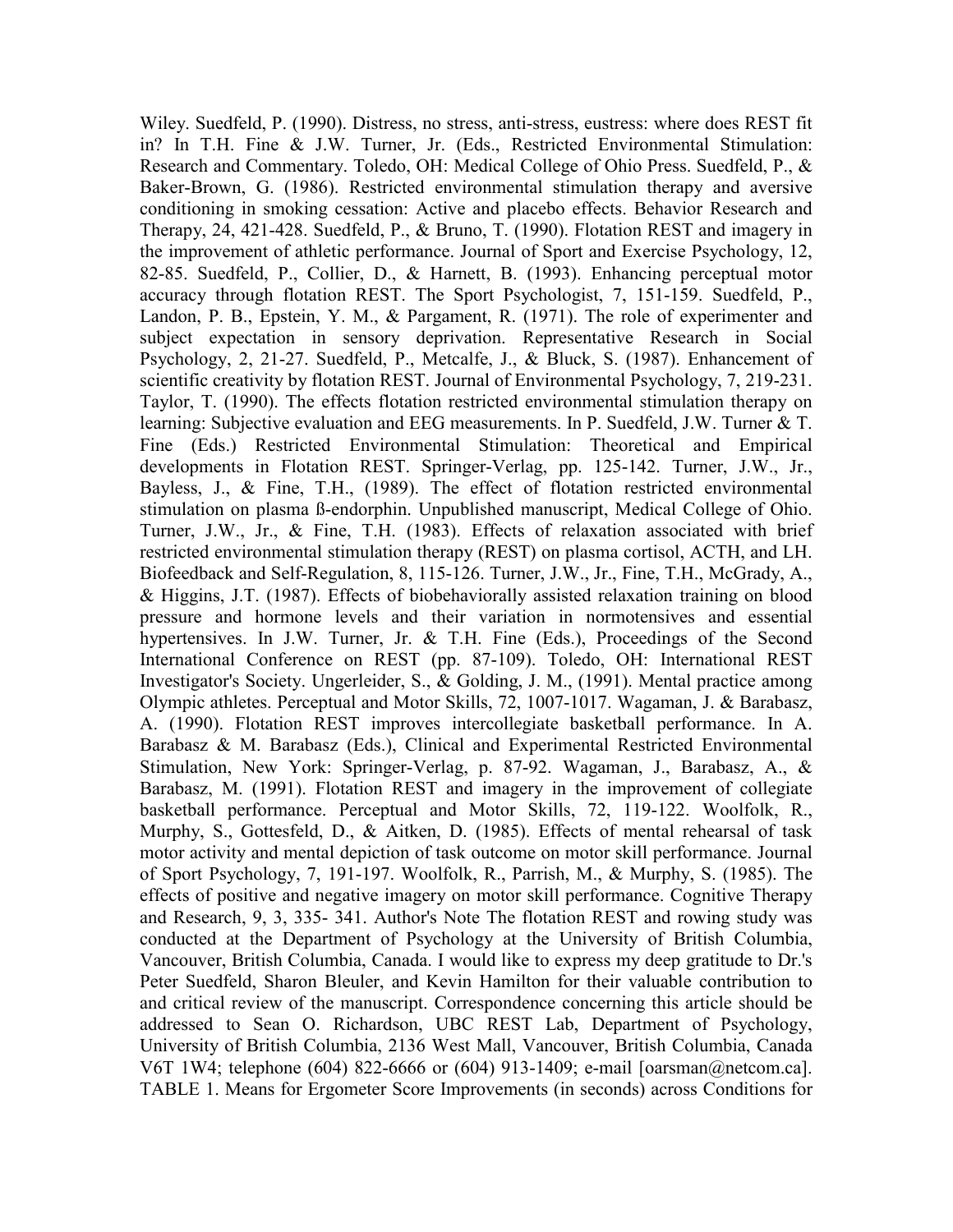Wiley. Suedfeld, P. (1990). Distress, no stress, anti-stress, eustress: where does REST fit in? In T.H. Fine & J.W. Turner, Jr. (Eds., Restricted Environmental Stimulation: Research and Commentary. Toledo, OH: Medical College of Ohio Press. Suedfeld, P., & Baker-Brown, G. (1986). Restricted environmental stimulation therapy and aversive conditioning in smoking cessation: Active and placebo effects. Behavior Research and Therapy, 24, 421-428. Suedfeld, P., & Bruno, T. (1990). Flotation REST and imagery in the improvement of athletic performance. Journal of Sport and Exercise Psychology, 12, 82-85. Suedfeld, P., Collier, D., & Harnett, B. (1993). Enhancing perceptual motor accuracy through flotation REST. The Sport Psychologist, 7, 151-159. Suedfeld, P., Landon, P. B., Epstein, Y. M., & Pargament, R. (1971). The role of experimenter and subject expectation in sensory deprivation. Representative Research in Social Psychology, 2, 21-27. Suedfeld, P., Metcalfe, J., & Bluck, S. (1987). Enhancement of scientific creativity by flotation REST. Journal of Environmental Psychology, 7, 219-231. Taylor, T. (1990). The effects flotation restricted environmental stimulation therapy on learning: Subjective evaluation and EEG measurements. In P. Suedfeld, J.W. Turner & T. Fine (Eds.) Restricted Environmental Stimulation: Theoretical and Empirical developments in Flotation REST. Springer-Verlag, pp. 125-142. Turner, J.W., Jr., Bayless, J., & Fine, T.H., (1989). The effect of flotation restricted environmental stimulation on plasma ß-endorphin. Unpublished manuscript, Medical College of Ohio. Turner, J.W., Jr., & Fine, T.H. (1983). Effects of relaxation associated with brief restricted environmental stimulation therapy (REST) on plasma cortisol, ACTH, and LH. Biofeedback and Self-Regulation, 8, 115-126. Turner, J.W., Jr., Fine, T.H., McGrady, A., & Higgins, J.T. (1987). Effects of biobehaviorally assisted relaxation training on blood pressure and hormone levels and their variation in normotensives and essential hypertensives. In J.W. Turner, Jr. & T.H. Fine (Eds.), Proceedings of the Second International Conference on REST (pp. 87-109). Toledo, OH: International REST Investigator's Society. Ungerleider, S., & Golding, J. M., (1991). Mental practice among Olympic athletes. Perceptual and Motor Skills, 72, 1007-1017. Wagaman, J. & Barabasz, A. (1990). Flotation REST improves intercollegiate basketball performance. In A. Barabasz & M. Barabasz (Eds.), Clinical and Experimental Restricted Environmental Stimulation, New York: Springer-Verlag, p. 87-92. Wagaman, J., Barabasz, A., & Barabasz, M. (1991). Flotation REST and imagery in the improvement of collegiate basketball performance. Perceptual and Motor Skills, 72, 119-122. Woolfolk, R., Murphy, S., Gottesfeld, D., & Aitken, D. (1985). Effects of mental rehearsal of task motor activity and mental depiction of task outcome on motor skill performance. Journal of Sport Psychology, 7, 191-197. Woolfolk, R., Parrish, M., & Murphy, S. (1985). The effects of positive and negative imagery on motor skill performance. Cognitive Therapy and Research, 9, 3, 335- 341. Author's Note The flotation REST and rowing study was conducted at the Department of Psychology at the University of British Columbia, Vancouver, British Columbia, Canada. I would like to express my deep gratitude to Dr.'s Peter Suedfeld, Sharon Bleuler, and Kevin Hamilton for their valuable contribution to and critical review of the manuscript. Correspondence concerning this article should be addressed to Sean O. Richardson, UBC REST Lab, Department of Psychology, University of British Columbia, 2136 West Mall, Vancouver, British Columbia, Canada V6T 1W4; telephone (604) 822-6666 or (604) 913-1409; e-mail [oarsman@netcom.ca]. TABLE 1. Means for Ergometer Score Improvements (in seconds) across Conditions for